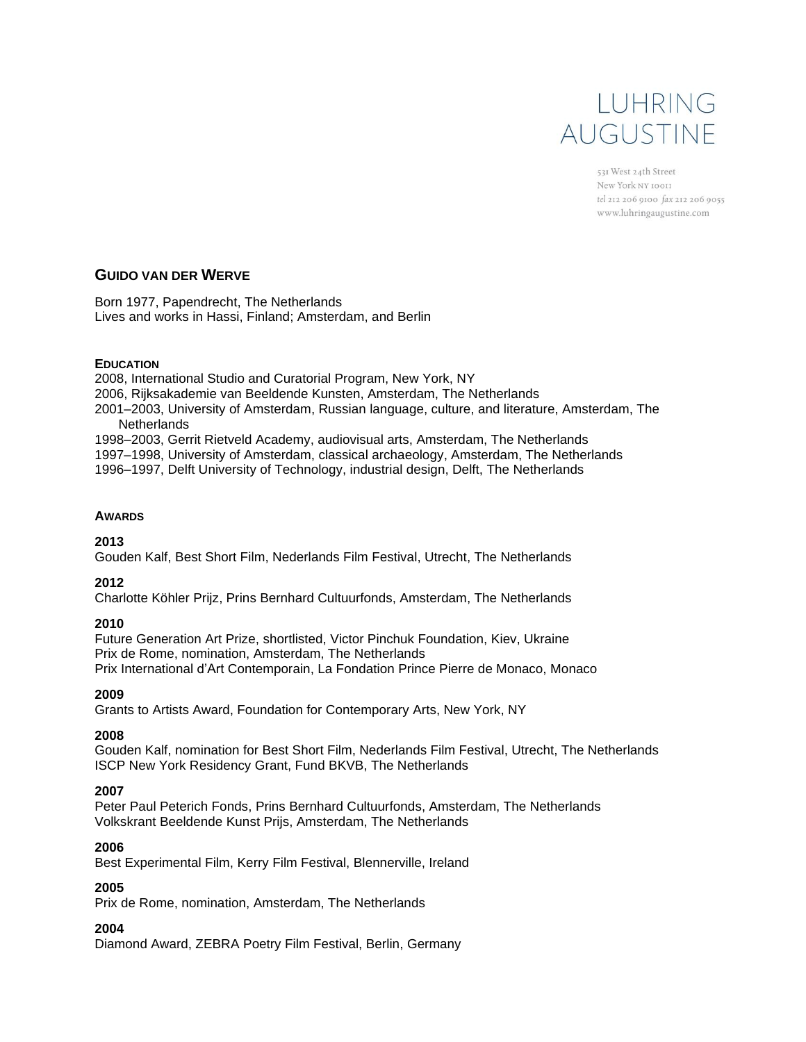# LUHRING AUGUSTINE

531 West 24th Street New York NY 10011 tel 212 206 9100 fax 212 206 9055 www.luhringaugustine.com

### **GUIDO VAN DER WERVE**

Born 1977, Papendrecht, The Netherlands Lives and works in Hassi, Finland; Amsterdam, and Berlin

#### **EDUCATION**

2008, International Studio and Curatorial Program, New York, NY 2006, Rijksakademie van Beeldende Kunsten, Amsterdam, The Netherlands 2001–2003, University of Amsterdam, Russian language, culture, and literature, Amsterdam, The **Netherlands** 1998–2003, Gerrit Rietveld Academy, audiovisual arts, Amsterdam, The Netherlands 1997–1998, University of Amsterdam, classical archaeology, Amsterdam, The Netherlands 1996–1997, Delft University of Technology, industrial design, Delft, The Netherlands

#### **AWARDS**

**2013**

Gouden Kalf, Best Short Film, Nederlands Film Festival, Utrecht, The Netherlands

#### **2012**

Charlotte Köhler Prijz, Prins Bernhard Cultuurfonds, Amsterdam, The Netherlands

#### **2010**

Future Generation Art Prize, shortlisted, Victor Pinchuk Foundation, Kiev, Ukraine Prix de Rome, nomination, Amsterdam, The Netherlands Prix International d'Art Contemporain, La Fondation Prince Pierre de Monaco, Monaco

#### **2009**

Grants to Artists Award, Foundation for Contemporary Arts, New York, NY

#### **2008**

Gouden Kalf, nomination for Best Short Film, Nederlands Film Festival, Utrecht, The Netherlands ISCP New York Residency Grant, Fund BKVB, The Netherlands

#### **2007**

Peter Paul Peterich Fonds, Prins Bernhard Cultuurfonds, Amsterdam, The Netherlands Volkskrant Beeldende Kunst Prijs, Amsterdam, The Netherlands

#### **2006**

Best Experimental Film, Kerry Film Festival, Blennerville, Ireland

#### **2005**

Prix de Rome, nomination, Amsterdam, The Netherlands

#### **2004**

Diamond Award, ZEBRA Poetry Film Festival, Berlin, Germany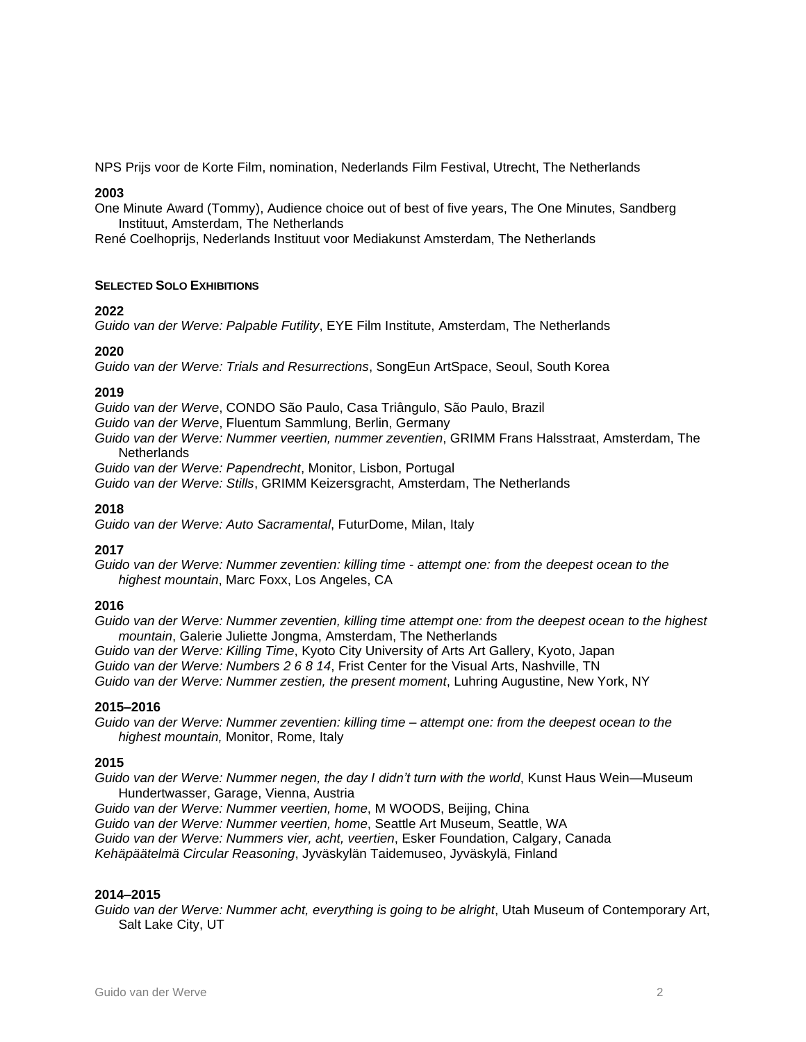NPS Prijs voor de Korte Film, nomination, Nederlands Film Festival, Utrecht, The Netherlands

#### **2003**

One Minute Award (Tommy), Audience choice out of best of five years, The One Minutes, Sandberg Instituut, Amsterdam, The Netherlands

René Coelhoprijs, Nederlands Instituut voor Mediakunst Amsterdam, The Netherlands

#### **SELECTED SOLO EXHIBITIONS**

#### **2022**

*Guido van der Werve: Palpable Futility*, EYE Film Institute, Amsterdam, The Netherlands

#### **2020**

*Guido van der Werve: Trials and Resurrections*, SongEun ArtSpace, Seoul, South Korea

#### **2019**

*Guido van der Werve*, CONDO São Paulo, Casa Triângulo, São Paulo, Brazil

*Guido van der Werve*, Fluentum Sammlung, Berlin, Germany

*Guido van der Werve: Nummer veertien, nummer zeventien*, GRIMM Frans Halsstraat, Amsterdam, The **Netherlands** 

*Guido van der Werve: Papendrecht*, Monitor, Lisbon, Portugal

*Guido van der Werve: Stills*, GRIMM Keizersgracht, Amsterdam, The Netherlands

#### **2018**

*Guido van der Werve: Auto Sacramental*, FuturDome, Milan, Italy

#### **2017**

*Guido van der Werve: Nummer zeventien: killing time - attempt one: from the deepest ocean to the highest mountain*, Marc Foxx, Los Angeles, CA

#### **2016**

*Guido van der Werve: Nummer zeventien, killing time attempt one: from the deepest ocean to the highest mountain*, Galerie Juliette Jongma, Amsterdam, The Netherlands

*Guido van der Werve: Killing Time*, Kyoto City University of Arts Art Gallery, Kyoto, Japan

*Guido van der Werve: Numbers 2 6 8 14*, Frist Center for the Visual Arts, Nashville, TN

*Guido van der Werve: Nummer zestien, the present moment*, Luhring Augustine, New York, NY

#### **2015–2016**

*Guido van der Werve: Nummer zeventien: killing time – attempt one: from the deepest ocean to the highest mountain,* Monitor, Rome, Italy

#### **2015**

*Guido van der Werve: Nummer negen, the day I didn't turn with the world*, Kunst Haus Wein—Museum Hundertwasser, Garage, Vienna, Austria

*Guido van der Werve: Nummer veertien, home*, M WOODS, Beijing, China *Guido van der Werve: Nummer veertien, home*, Seattle Art Museum, Seattle, WA *Guido van der Werve: Nummers vier, acht, veertien*, Esker Foundation, Calgary, Canada *Kehäpäätelmä Circular Reasoning*, Jyväskylän Taidemuseo, Jyväskylä, Finland

#### **2014–2015**

*Guido van der Werve: Nummer acht, everything is going to be alright*, Utah Museum of Contemporary Art, Salt Lake City, UT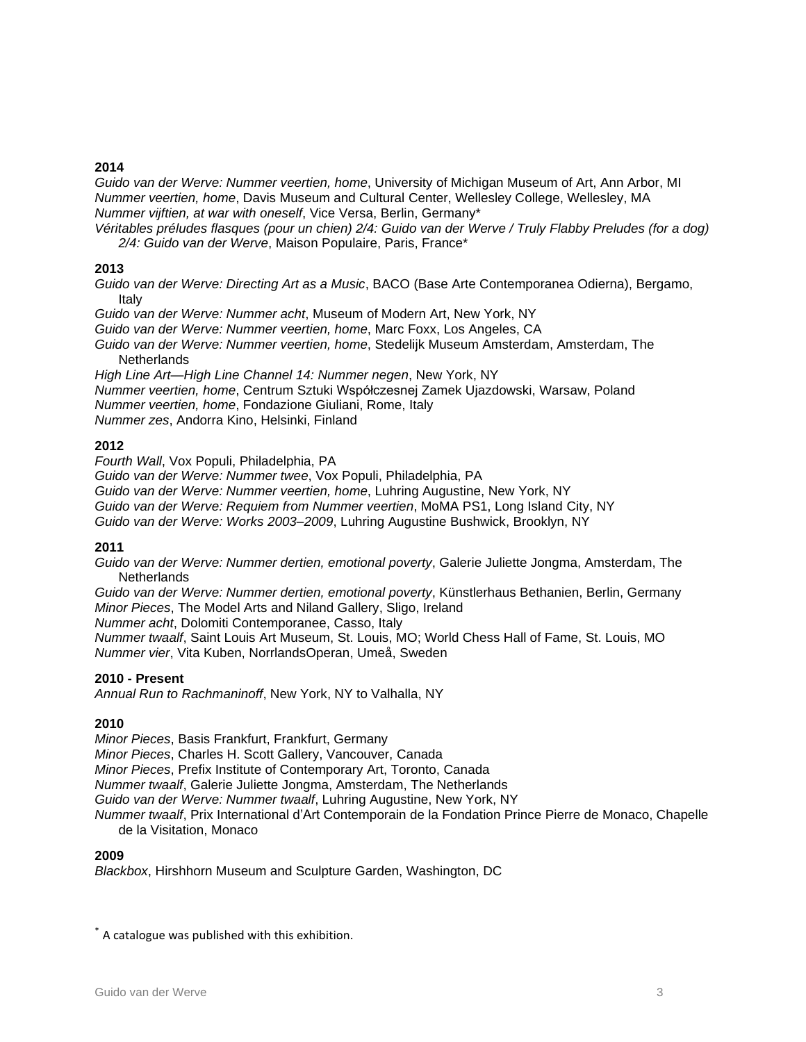#### **2014**

*Guido van der Werve: Nummer veertien, home*, University of Michigan Museum of Art, Ann Arbor, MI *Nummer veertien, home*, Davis Museum and Cultural Center, Wellesley College, Wellesley, MA *Nummer vijftien, at war with oneself*, Vice Versa, Berlin, Germany\*

Véritables préludes flasques (pour un chien) 2/4: Guido van der Werve / Truly Flabby Preludes (for a dog) *2/4: Guido van der Werve*, Maison Populaire, Paris, France\*

#### **2013**

*Guido van der Werve: Directing Art as a Music*, BACO (Base Arte Contemporanea Odierna), Bergamo, Italy

*Guido van der Werve: Nummer acht*, Museum of Modern Art, New York, NY

*Guido van der Werve: Nummer veertien, home*, Marc Foxx, Los Angeles, CA

*Guido van der Werve: Nummer veertien, home*, Stedelijk Museum Amsterdam, Amsterdam, The **Netherlands** 

*High Line Art—High Line Channel 14: Nummer negen*, New York, NY *Nummer veertien, home*, Centrum Sztuki Współczesnej Zamek Ujazdowski, Warsaw, Poland *Nummer veertien, home*, Fondazione Giuliani, Rome, Italy *Nummer zes*, Andorra Kino, Helsinki, Finland

#### **2012**

*Fourth Wall*, Vox Populi, Philadelphia, PA

*Guido van der Werve: Nummer twee*, Vox Populi, Philadelphia, PA

*Guido van der Werve: Nummer veertien, home*, Luhring Augustine, New York, NY

*Guido van der Werve: Requiem from Nummer veertien*, MoMA PS1, Long Island City, NY

*Guido van der Werve: Works 2003–2009*, Luhring Augustine Bushwick, Brooklyn, NY

#### **2011**

*Guido van der Werve: Nummer dertien, emotional poverty*, Galerie Juliette Jongma, Amsterdam, The **Netherlands** 

*Guido van der Werve: Nummer dertien, emotional poverty*, Künstlerhaus Bethanien, Berlin, Germany *Minor Pieces*, The Model Arts and Niland Gallery, Sligo, Ireland

*Nummer acht*, Dolomiti Contemporanee, Casso, Italy

*Nummer twaalf*, Saint Louis Art Museum, St. Louis, MO; World Chess Hall of Fame, St. Louis, MO *Nummer vier*, Vita Kuben, NorrlandsOperan, Umeå, Sweden

#### **2010 - Present**

*Annual Run to Rachmaninoff*, New York, NY to Valhalla, NY

#### **2010**

*Minor Pieces*, Basis Frankfurt, Frankfurt, Germany *Minor Pieces*, Charles H. Scott Gallery, Vancouver, Canada *Minor Pieces*, Prefix Institute of Contemporary Art, Toronto, Canada *Nummer twaalf*, Galerie Juliette Jongma, Amsterdam, The Netherlands *Guido van der Werve: Nummer twaalf*, Luhring Augustine, New York, NY *Nummer twaalf*, Prix International d'Art Contemporain de la Fondation Prince Pierre de Monaco, Chapelle de la Visitation, Monaco

#### **2009**

*Blackbox*, Hirshhorn Museum and Sculpture Garden, Washington, DC

\* A catalogue was published with this exhibition.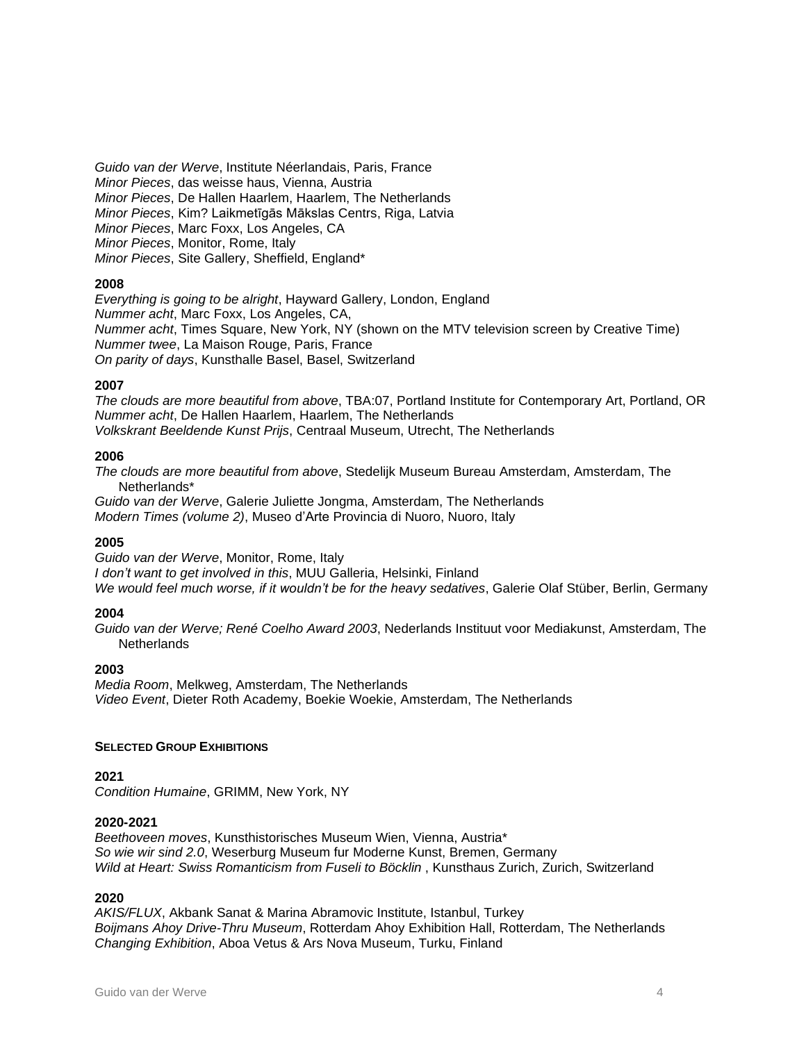*Guido van der Werve*, Institute Néerlandais, Paris, France *Minor Pieces*, das weisse haus, Vienna, Austria *Minor Pieces*, De Hallen Haarlem, Haarlem, The Netherlands *Minor Pieces*, Kim? Laikmetīgās Mākslas Centrs, Riga, Latvia *Minor Pieces*, Marc Foxx, Los Angeles, CA *Minor Pieces*, Monitor, Rome, Italy *Minor Pieces*, Site Gallery, Sheffield, England\*

#### **2008**

*Everything is going to be alright*, Hayward Gallery, London, England *Nummer acht*, Marc Foxx, Los Angeles, CA, *Nummer acht*, Times Square, New York, NY (shown on the MTV television screen by Creative Time) *Nummer twee*, La Maison Rouge, Paris, France *On parity of days*, Kunsthalle Basel, Basel, Switzerland

#### **2007**

*The clouds are more beautiful from above*, TBA:07, Portland Institute for Contemporary Art, Portland, OR *Nummer acht*, De Hallen Haarlem, Haarlem, The Netherlands *Volkskrant Beeldende Kunst Prijs*, Centraal Museum, Utrecht, The Netherlands

#### **2006**

*The clouds are more beautiful from above*, Stedelijk Museum Bureau Amsterdam, Amsterdam, The Netherlands\*

*Guido van der Werve*, Galerie Juliette Jongma, Amsterdam, The Netherlands *Modern Times (volume 2)*, Museo d'Arte Provincia di Nuoro, Nuoro, Italy

#### **2005**

*Guido van der Werve*, Monitor, Rome, Italy *I don't want to get involved in this*, MUU Galleria, Helsinki, Finland *We would feel much worse, if it wouldn't be for the heavy sedatives*, Galerie Olaf Stüber, Berlin, Germany

#### **2004**

*Guido van der Werve; René Coelho Award 2003*, Nederlands Instituut voor Mediakunst, Amsterdam, The **Netherlands** 

#### **2003**

*Media Room*, Melkweg, Amsterdam, The Netherlands *Video Event*, Dieter Roth Academy, Boekie Woekie, Amsterdam, The Netherlands

#### **SELECTED GROUP EXHIBITIONS**

#### **2021**

*Condition Humaine*, GRIMM, New York, NY

#### **2020-2021**

*Beethoveen moves*, Kunsthistorisches Museum Wien, Vienna, Austria\* *So wie wir sind 2.0*, Weserburg Museum fur Moderne Kunst, Bremen, Germany *Wild at Heart: Swiss Romanticism from Fuseli to Böcklin* , Kunsthaus Zurich, Zurich, Switzerland

#### **2020**

*AKIS/FLUX*, Akbank Sanat & Marina Abramovic Institute, Istanbul, Turkey *Boijmans Ahoy Drive-Thru Museum*, Rotterdam Ahoy Exhibition Hall, Rotterdam, The Netherlands *Changing Exhibition*, Aboa Vetus & Ars Nova Museum, Turku, Finland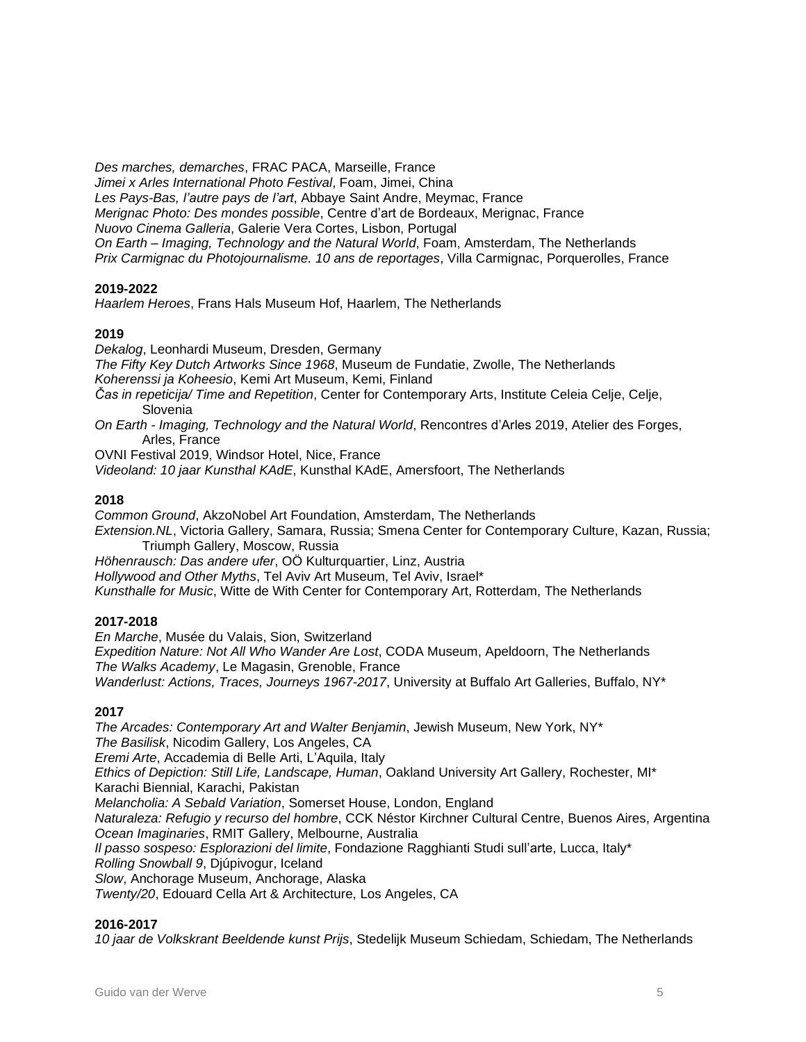*Des marches, demarches*, FRAC PACA, Marseille, France *Jimei x Arles International Photo Festival*, Foam, Jimei, China *Les Pays-Bas, l'autre pays de l'art*, Abbaye Saint Andre, Meymac, France *Merignac Photo: Des mondes possible*, Centre d'art de Bordeaux, Merignac, France *Nuovo Cinema Galleria*, Galerie Vera Cortes, Lisbon, Portugal *On Earth – Imaging, Technology and the Natural World*, Foam, Amsterdam, The Netherlands *Prix Carmignac du Photojournalisme. 10 ans de reportages*, Villa Carmignac, Porquerolles, France

#### **2019-2022**

*Haarlem Heroes*, Frans Hals Museum Hof, Haarlem, The Netherlands

#### **2019**

*Dekalog*, Leonhardi Museum, Dresden, Germany *The Fifty Key Dutch Artworks Since 1968*, Museum de Fundatie, Zwolle, The Netherlands *Koherenssi ja Koheesio*, Kemi Art Museum, Kemi, Finland *Čas in repeticija/ Time and Repetition*, Center for Contemporary Arts, Institute Celeia Celje, Celje, Slovenia *On Earth - Imaging, Technology and the Natural World*, Rencontres d'Arles 2019, Atelier des Forges, Arles, France

OVNI Festival 2019, Windsor Hotel, Nice, France

*Videoland: 10 jaar Kunsthal KAdE*, Kunsthal KAdE, Amersfoort, The Netherlands

#### **2018**

*Common Ground*, AkzoNobel Art Foundation, Amsterdam, The Netherlands *Extension.NL*, Victoria Gallery, Samara, Russia; Smena Center for Contemporary Culture, Kazan, Russia; Triumph Gallery, Moscow, Russia *Höhenrausch: Das andere ufer*, OÖ Kulturquartier, Linz, Austria *Hollywood and Other Myths*, Tel Aviv Art Museum, Tel Aviv, Israel\*

### *Kunsthalle for Music*, Witte de With Center for Contemporary Art, Rotterdam, The Netherlands

#### **2017-2018**

*En Marche*, Musée du Valais, Sion, Switzerland *Expedition Nature: Not All Who Wander Are Lost*, CODA Museum, Apeldoorn, The Netherlands *The Walks Academy*, Le Magasin, Grenoble, France *Wanderlust: Actions, Traces, Journeys 1967-2017*, University at Buffalo Art Galleries, Buffalo, NY\*

#### **2017**

*The Arcades: Contemporary Art and Walter Benjamin*, Jewish Museum, New York, NY\* *The Basilisk*, Nicodim Gallery, Los Angeles, CA *Eremi Arte*, Accademia di Belle Arti, L'Aquila, Italy *Ethics of Depiction: Still Life, Landscape, Human*, Oakland University Art Gallery, Rochester, MI\* Karachi Biennial, Karachi, Pakistan *Melancholia: A Sebald Variation*, Somerset House, London, England *Naturaleza: Refugio y recurso del hombre*, CCK Néstor Kirchner Cultural Centre, Buenos Aires, Argentina *Ocean Imaginaries*, RMIT Gallery, Melbourne, Australia *Il passo sospeso: Esplorazioni del limite*, Fondazione Ragghianti Studi sull'arte, Lucca, Italy\* *Rolling Snowball 9*, Djúpivogur, Iceland *Slow*, Anchorage Museum, Anchorage, Alaska *Twenty/20*, Edouard Cella Art & Architecture, Los Angeles, CA

#### **2016-2017**

*10 jaar de Volkskrant Beeldende kunst Prijs*, Stedelijk Museum Schiedam, Schiedam, The Netherlands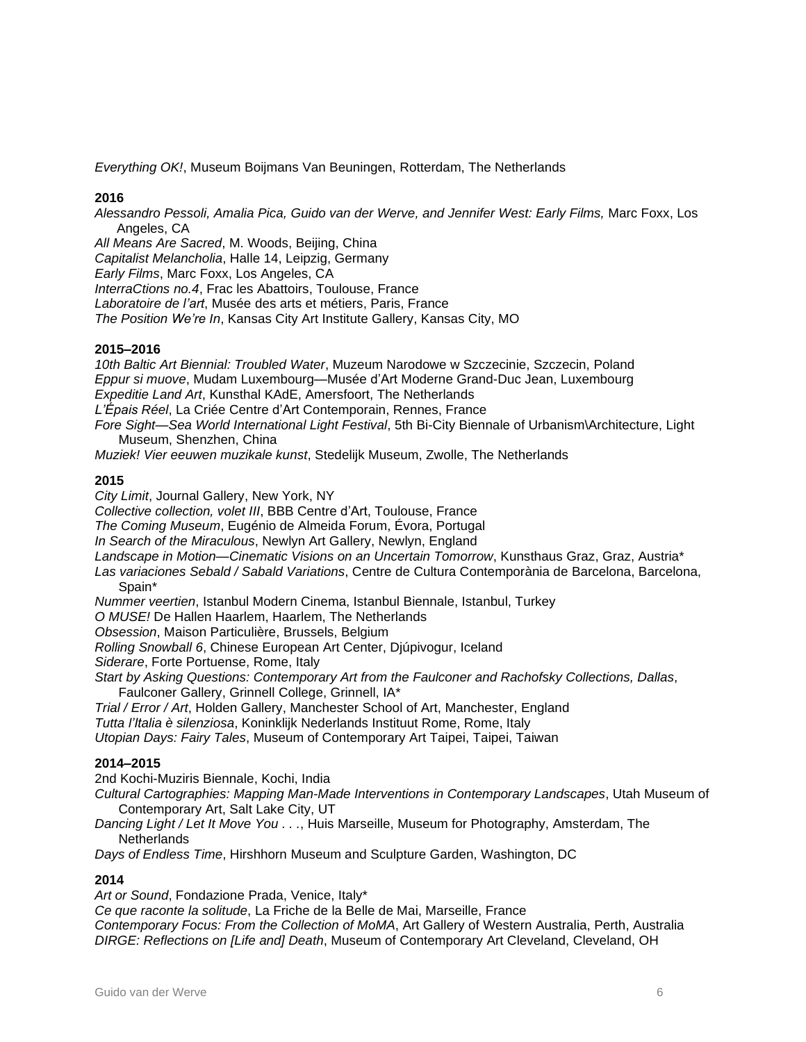*Everything OK!*, Museum Boijmans Van Beuningen, Rotterdam, The Netherlands

#### **2016**

*Alessandro Pessoli, Amalia Pica, Guido van der Werve, and Jennifer West: Early Films,* Marc Foxx, Los Angeles, CA

*All Means Are Sacred*, M. Woods, Beijing, China

*Capitalist Melancholia*, Halle 14, Leipzig, Germany

*Early Films*, Marc Foxx, Los Angeles, CA

*InterraCtions no.4*, Frac les Abattoirs, Toulouse, France

*Laboratoire de l'art*, Musée des arts et métiers, Paris, France

*The Position We're In*, Kansas City Art Institute Gallery, Kansas City, MO

#### **2015–2016**

*10th Baltic Art Biennial: Troubled Water*, Muzeum Narodowe w Szczecinie, Szczecin, Poland *Eppur si muove*, Mudam Luxembourg—Musée d'Art Moderne Grand-Duc Jean, Luxembourg *Expeditie Land Art*, Kunsthal KAdE, Amersfoort, The Netherlands *L'Épais Réel*, La Criée Centre d'Art Contemporain, Rennes, France *Fore Sight—Sea World International Light Festival*, 5th Bi-City Biennale of Urbanism\Architecture, Light

Museum, Shenzhen, China

*Muziek! Vier eeuwen muzikale kunst*, Stedelijk Museum, Zwolle, The Netherlands

#### **2015**

*City Limit*, Journal Gallery, New York, NY *Collective collection, volet III*, BBB Centre d'Art, Toulouse, France *The Coming Museum*, Eugénio de Almeida Forum, Évora, Portugal *In Search of the Miraculous*, Newlyn Art Gallery, Newlyn, England *Landscape in Motion—Cinematic Visions on an Uncertain Tomorrow*, Kunsthaus Graz, Graz, Austria\* *Las variaciones Sebald / Sabald Variations*, Centre de Cultura Contemporània de Barcelona, Barcelona, Spain\* *Nummer veertien*, Istanbul Modern Cinema, Istanbul Biennale, Istanbul, Turkey *O MUSE!* De Hallen Haarlem, Haarlem, The Netherlands *Obsession*, Maison Particulière, Brussels, Belgium *Rolling Snowball 6*, Chinese European Art Center, Djúpivogur, Iceland *Siderare*, Forte Portuense, Rome, Italy *Start by Asking Questions: Contemporary Art from the Faulconer and Rachofsky Collections, Dallas*, Faulconer Gallery, Grinnell College, Grinnell, IA\* *Trial / Error / Art*, Holden Gallery, Manchester School of Art, Manchester, England *Tutta l'Italia è silenziosa*, Koninklijk Nederlands Instituut Rome, Rome, Italy *Utopian Days: Fairy Tales*, Museum of Contemporary Art Taipei, Taipei, Taiwan

#### **2014–2015**

2nd Kochi-Muziris Biennale, Kochi, India

*Cultural Cartographies: Mapping Man-Made Interventions in Contemporary Landscapes*, Utah Museum of Contemporary Art, Salt Lake City, UT

*Dancing Light / Let It Move You . . .*, Huis Marseille, Museum for Photography, Amsterdam, The **Netherlands** 

*Days of Endless Time*, Hirshhorn Museum and Sculpture Garden, Washington, DC

#### **2014**

*Art or Sound*, Fondazione Prada, Venice, Italy\*

*Ce que raconte la solitude*, La Friche de la Belle de Mai, Marseille, France *Contemporary Focus: From the Collection of MoMA*, Art Gallery of Western Australia, Perth, Australia *DIRGE: Reflections on [Life and] Death*, Museum of Contemporary Art Cleveland, Cleveland, OH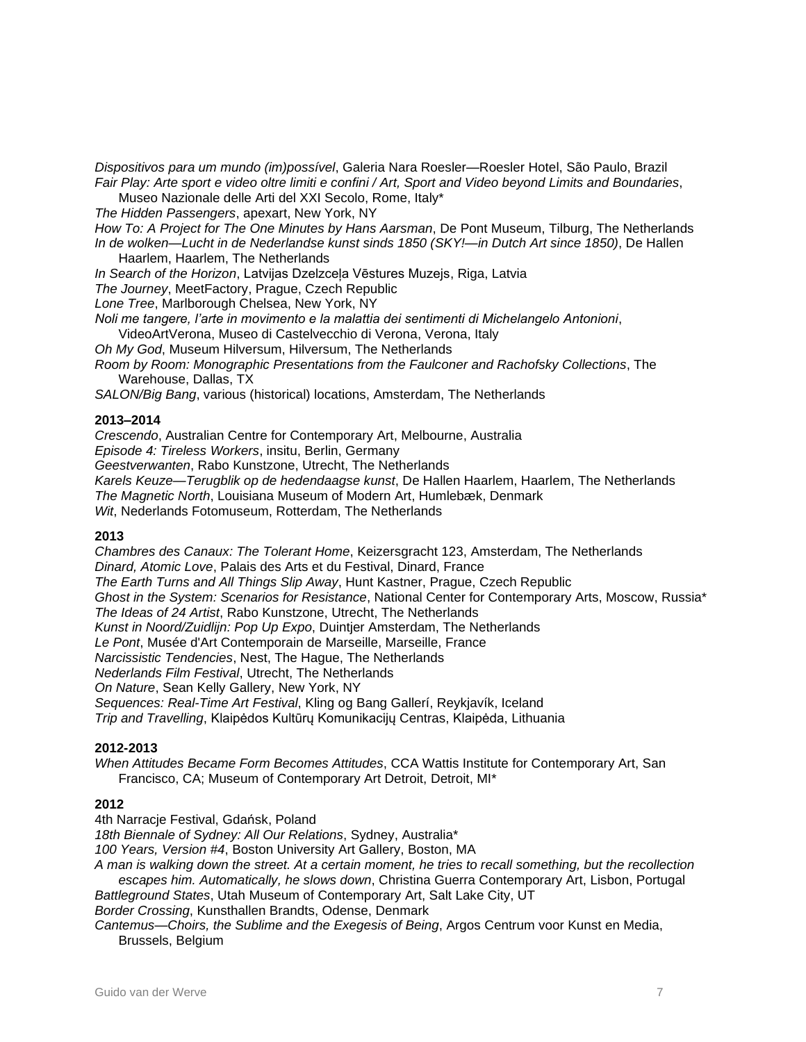*Dispositivos para um mundo (im)possível*, Galeria Nara Roesler—Roesler Hotel, São Paulo, Brazil Fair Play: Arte sport e video oltre limiti e confini / Art, Sport and Video beyond Limits and Boundaries,

Museo Nazionale delle Arti del XXI Secolo, Rome, Italy\*

*The Hidden Passengers*, apexart, New York, NY

*How To: A Project for The One Minutes by Hans Aarsman*, De Pont Museum, Tilburg, The Netherlands *In de wolken—Lucht in de Nederlandse kunst sinds 1850 (SKY!—in Dutch Art since 1850)*, De Hallen

Haarlem, Haarlem, The Netherlands

*In Search of the Horizon*, Latvijas Dzelzceļa Vēstures Muzejs, Riga, Latvia

*The Journey*, MeetFactory, Prague, Czech Republic

*Lone Tree*, Marlborough Chelsea, New York, NY

*Noli me tangere, l'arte in movimento e la malattia dei sentimenti di Michelangelo Antonioni*,

VideoArtVerona, Museo di Castelvecchio di Verona, Verona, Italy

*Oh My God*, Museum Hilversum, Hilversum, The Netherlands

*Room by Room: Monographic Presentations from the Faulconer and Rachofsky Collections*, The Warehouse, Dallas, TX

*SALON/Big Bang*, various (historical) locations, Amsterdam, The Netherlands

#### **2013–2014**

*Crescendo*, Australian Centre for Contemporary Art, Melbourne, Australia

*Episode 4: Tireless Workers*, insitu, Berlin, Germany

*Geestverwanten*, Rabo Kunstzone, Utrecht, The Netherlands

*Karels Keuze—Terugblik op de hedendaagse kunst*, De Hallen Haarlem, Haarlem, The Netherlands *The Magnetic North*, Louisiana Museum of Modern Art, Humlebæk, Denmark *Wit*, Nederlands Fotomuseum, Rotterdam, The Netherlands

## **2013**

*Chambres des Canaux: The Tolerant Home*, Keizersgracht 123, Amsterdam, The Netherlands *Dinard, Atomic Love*, Palais des Arts et du Festival, Dinard, France *The Earth Turns and All Things Slip Away*, Hunt Kastner, Prague, Czech Republic *Ghost in the System: Scenarios for Resistance*, National Center for Contemporary Arts, Moscow, Russia\* *The Ideas of 24 Artist*, Rabo Kunstzone, Utrecht, The Netherlands *Kunst in Noord/Zuidlijn: Pop Up Expo*, Duintjer Amsterdam, The Netherlands *Le Pont*, Musée d'Art Contemporain de Marseille, Marseille, France *Narcissistic Tendencies*, Nest, The Hague, The Netherlands *Nederlands Film Festival*, Utrecht, The Netherlands *On Nature*, Sean Kelly Gallery, New York, NY *Sequences: Real-Time Art Festival*, Kling og Bang Gallerí, Reykjavík, Iceland *Trip and Travelling*, Klaipėdos Kultūrų Komunikacijų Centras, Klaipėda, Lithuania

#### **2012-2013**

*When Attitudes Became Form Becomes Attitudes*, CCA Wattis Institute for Contemporary Art, San Francisco, CA; Museum of Contemporary Art Detroit, Detroit, MI\*

#### **2012**

4th Narracje Festival, Gdańsk, Poland

*18th Biennale of Sydney: All Our Relations*, Sydney, Australia\*

*100 Years, Version #4*, Boston University Art Gallery, Boston, MA

A man is walking down the street. At a certain moment, he tries to recall something, but the recollection *escapes him. Automatically, he slows down*, Christina Guerra Contemporary Art, Lisbon, Portugal *Battleground States*, Utah Museum of Contemporary Art, Salt Lake City, UT

*Border Crossing*, Kunsthallen Brandts, Odense, Denmark

*Cantemus—Choirs, the Sublime and the Exegesis of Being*, Argos Centrum voor Kunst en Media, Brussels, Belgium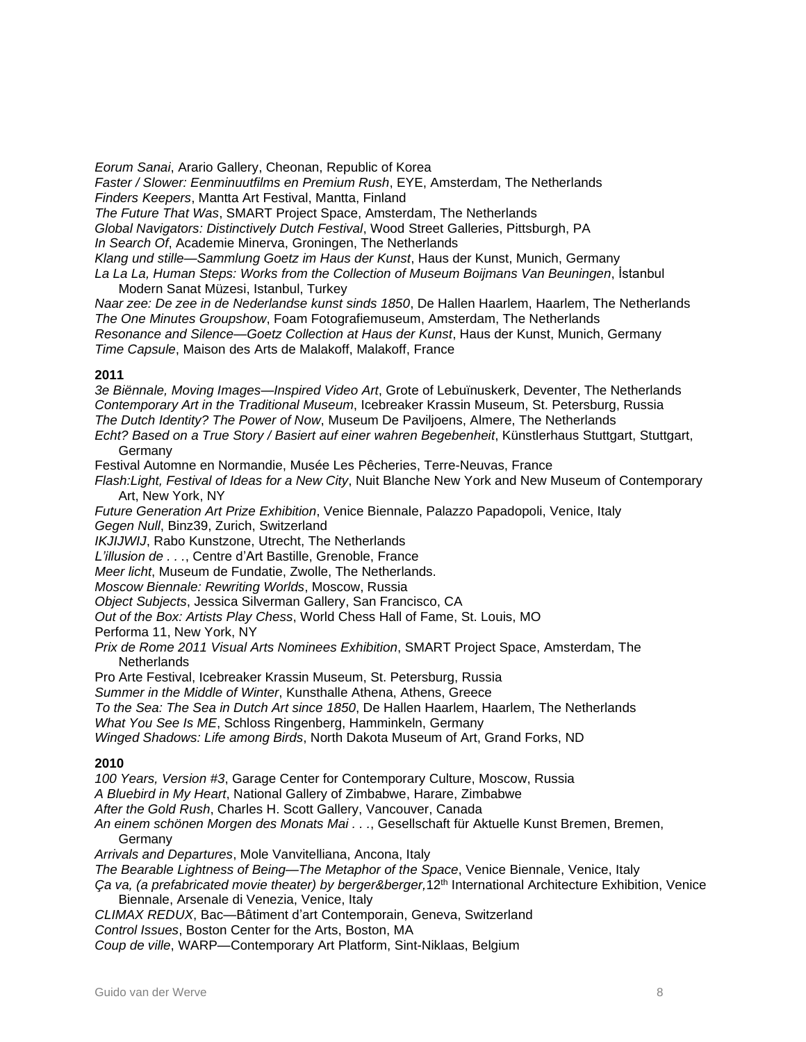*Eorum Sanai*, Arario Gallery, Cheonan, Republic of Korea

*Faster / Slower: Eenminuutfilms en Premium Rush*, EYE, Amsterdam, The Netherlands *Finders Keepers*, Mantta Art Festival, Mantta, Finland

*The Future That Was*, SMART Project Space, Amsterdam, The Netherlands

*Global Navigators: Distinctively Dutch Festival*, Wood Street Galleries, Pittsburgh, PA

*In Search Of*, Academie Minerva, Groningen, The Netherlands

*Klang und stille—Sammlung Goetz im Haus der Kunst*, Haus der Kunst, Munich, Germany

*La La La, Human Steps: Works from the Collection of Museum Boijmans Van Beuningen*, İstanbul Modern Sanat Müzesi, Istanbul, Turkey

*Naar zee: De zee in de Nederlandse kunst sinds 1850*, De Hallen Haarlem, Haarlem, The Netherlands *The One Minutes Groupshow*, Foam Fotografiemuseum, Amsterdam, The Netherlands *Resonance and Silence—Goetz Collection at Haus der Kunst*, Haus der Kunst, Munich, Germany *Time Capsule*, Maison des Arts de Malakoff, Malakoff, France

#### **2011**

*3e Biënnale, Moving Images—Inspired Video Art*, Grote of Lebuïnuskerk, Deventer, The Netherlands *Contemporary Art in the Traditional Museum*, Icebreaker Krassin Museum, St. Petersburg, Russia *The Dutch Identity? The Power of Now*, Museum De Paviljoens, Almere, The Netherlands

*Echt? Based on a True Story / Basiert auf einer wahren Begebenheit*, Künstlerhaus Stuttgart, Stuttgart, **Germany** 

Festival Automne en Normandie, Musée Les Pêcheries, Terre-Neuvas, France

*Flash:Light, Festival of Ideas for a New City*, Nuit Blanche New York and New Museum of Contemporary Art, New York, NY

*Future Generation Art Prize Exhibition*, Venice Biennale, Palazzo Papadopoli, Venice, Italy

*Gegen Null*, Binz39, Zurich, Switzerland

*IKJIJWIJ*, Rabo Kunstzone, Utrecht, The Netherlands

*L'illusion de . . .*, Centre d'Art Bastille, Grenoble, France

*Meer licht*, Museum de Fundatie, Zwolle, The Netherlands.

*Moscow Biennale: Rewriting Worlds*, Moscow, Russia

*Object Subjects*, Jessica Silverman Gallery, San Francisco, CA

*Out of the Box: Artists Play Chess*, World Chess Hall of Fame, St. Louis, MO

Performa 11, New York, NY

*Prix de Rome 2011 Visual Arts Nominees Exhibition*, SMART Project Space, Amsterdam, The **Netherlands** 

Pro Arte Festival, Icebreaker Krassin Museum, St. Petersburg, Russia

*Summer in the Middle of Winter*, Kunsthalle Athena, Athens, Greece

*To the Sea: The Sea in Dutch Art since 1850*, De Hallen Haarlem, Haarlem, The Netherlands

*What You See Is ME*, Schloss Ringenberg, Hamminkeln, Germany

*Winged Shadows: Life among Birds*, North Dakota Museum of Art, Grand Forks, ND

#### **2010**

*100 Years, Version #3*, Garage Center for Contemporary Culture, Moscow, Russia

*A Bluebird in My Heart*, National Gallery of Zimbabwe, Harare, Zimbabwe

*After the Gold Rush*, Charles H. Scott Gallery, Vancouver, Canada

*An einem schönen Morgen des Monats Mai . . .*, Gesellschaft für Aktuelle Kunst Bremen, Bremen, **Germany** 

*Arrivals and Departures*, Mole Vanvitelliana, Ancona, Italy

*The Bearable Lightness of Being—The Metaphor of the Space*, Venice Biennale, Venice, Italy

*Ça va, (a prefabricated movie theater) by berger&berger,*12th International Architecture Exhibition, Venice Biennale, Arsenale di Venezia, Venice, Italy

*CLIMAX REDUX*, Bac—Bâtiment d'art Contemporain, Geneva, Switzerland

*Control Issues*, Boston Center for the Arts, Boston, MA

*Coup de ville*, WARP—Contemporary Art Platform, Sint-Niklaas, Belgium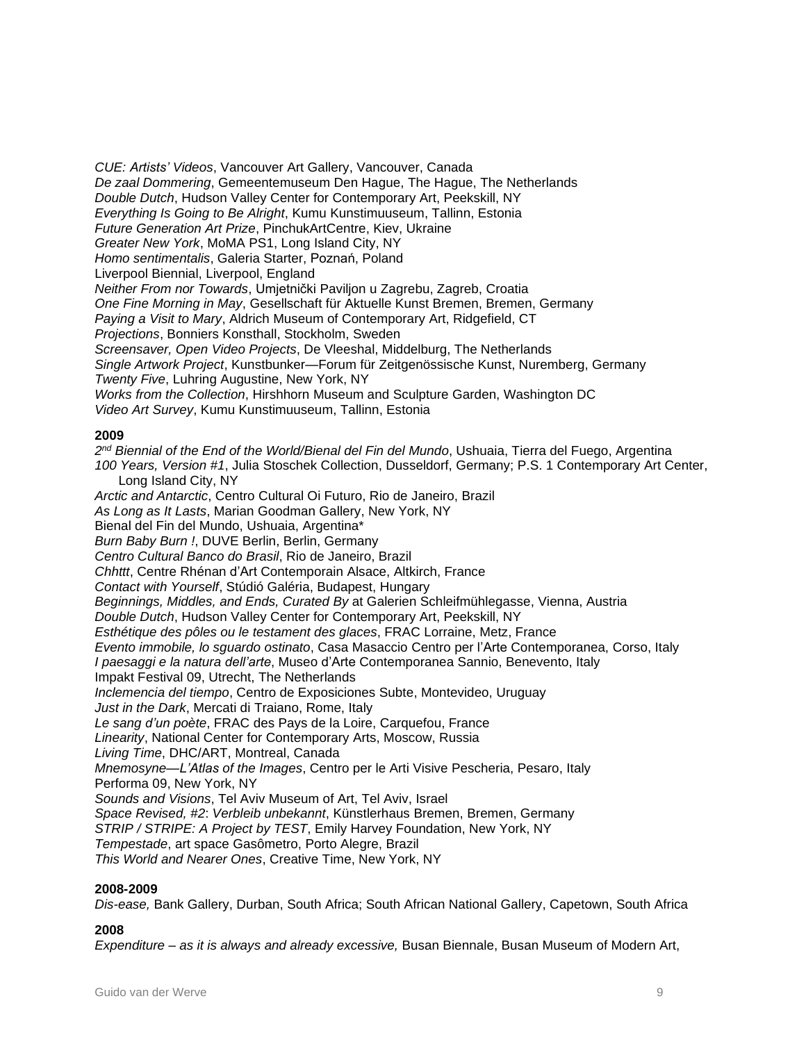*CUE: Artists' Videos*, Vancouver Art Gallery, Vancouver, Canada *De zaal Dommering*, Gemeentemuseum Den Hague, The Hague, The Netherlands *Double Dutch*, Hudson Valley Center for Contemporary Art, Peekskill, NY *Everything Is Going to Be Alright*, Kumu Kunstimuuseum, Tallinn, Estonia *Future Generation Art Prize*, PinchukArtCentre, Kiev, Ukraine *Greater New York*, MoMA PS1, Long Island City, NY *Homo sentimentalis*, Galeria Starter, Poznań, Poland Liverpool Biennial, Liverpool, England *Neither From nor Towards*, Umjetnički Paviljon u Zagrebu, Zagreb, Croatia *One Fine Morning in May*, Gesellschaft für Aktuelle Kunst Bremen, Bremen, Germany *Paying a Visit to Mary*, Aldrich Museum of Contemporary Art, Ridgefield, CT *Projections*, Bonniers Konsthall, Stockholm, Sweden *Screensaver, Open Video Projects*, De Vleeshal, Middelburg, The Netherlands *Single Artwork Project*, Kunstbunker—Forum für Zeitgenössische Kunst, Nuremberg, Germany *Twenty Five*, Luhring Augustine, New York, NY *Works from the Collection*, Hirshhorn Museum and Sculpture Garden, Washington DC *Video Art Survey*, Kumu Kunstimuuseum, Tallinn, Estonia

#### **2009**

*2 nd Biennial of the End of the World/Bienal del Fin del Mundo*, Ushuaia, Tierra del Fuego, Argentina *100 Years, Version #1*, Julia Stoschek Collection, Dusseldorf, Germany; P.S. 1 Contemporary Art Center, Long Island City, NY *Arctic and Antarctic*, Centro Cultural Oi Futuro, Rio de Janeiro, Brazil *As Long as It Lasts*, Marian Goodman Gallery, New York, NY Bienal del Fin del Mundo, Ushuaia, Argentina\* *Burn Baby Burn !*, DUVE Berlin, Berlin, Germany *Centro Cultural Banco do Brasil*, Rio de Janeiro, Brazil *Chhttt*, Centre Rhénan d'Art Contemporain Alsace, Altkirch, France *Contact with Yourself*, Stúdió Galéria, Budapest, Hungary *Beginnings, Middles, and Ends, Curated By* at Galerien Schleifmühlegasse, Vienna, Austria *Double Dutch*, Hudson Valley Center for Contemporary Art, Peekskill, NY *Esthétique des pôles ou le testament des glaces*, FRAC Lorraine, Metz, France *Evento immobile, lo sguardo ostinato*, Casa Masaccio Centro per l'Arte Contemporanea, Corso, Italy *I paesaggi e la natura dell'arte*, Museo d'Arte Contemporanea Sannio, Benevento, Italy Impakt Festival 09, Utrecht, The Netherlands *Inclemencia del tiempo*, Centro de Exposiciones Subte, Montevideo, Uruguay *Just in the Dark*, Mercati di Traiano, Rome, Italy *Le sang d'un poète*, FRAC des Pays de la Loire, Carquefou, France *Linearity*, National Center for Contemporary Arts, Moscow, Russia *Living Time*, DHC/ART, Montreal, Canada *Mnemosyne—L'Atlas of the Images*, Centro per le Arti Visive Pescheria, Pesaro, Italy Performa 09, New York, NY *Sounds and Visions*, Tel Aviv Museum of Art, Tel Aviv, Israel *Space Revised, #2*: *Verbleib unbekannt*, Künstlerhaus Bremen, Bremen, Germany *STRIP / STRIPE: A Project by TEST*, Emily Harvey Foundation, New York, NY *Tempestade*, art space Gasômetro, Porto Alegre, Brazil *This World and Nearer Ones*, Creative Time, New York, NY

#### **2008-2009**

*Dis-ease,* Bank Gallery, Durban, South Africa; South African National Gallery, Capetown, South Africa

#### **2008**

*Expenditure – as it is always and already excessive,* Busan Biennale, Busan Museum of Modern Art,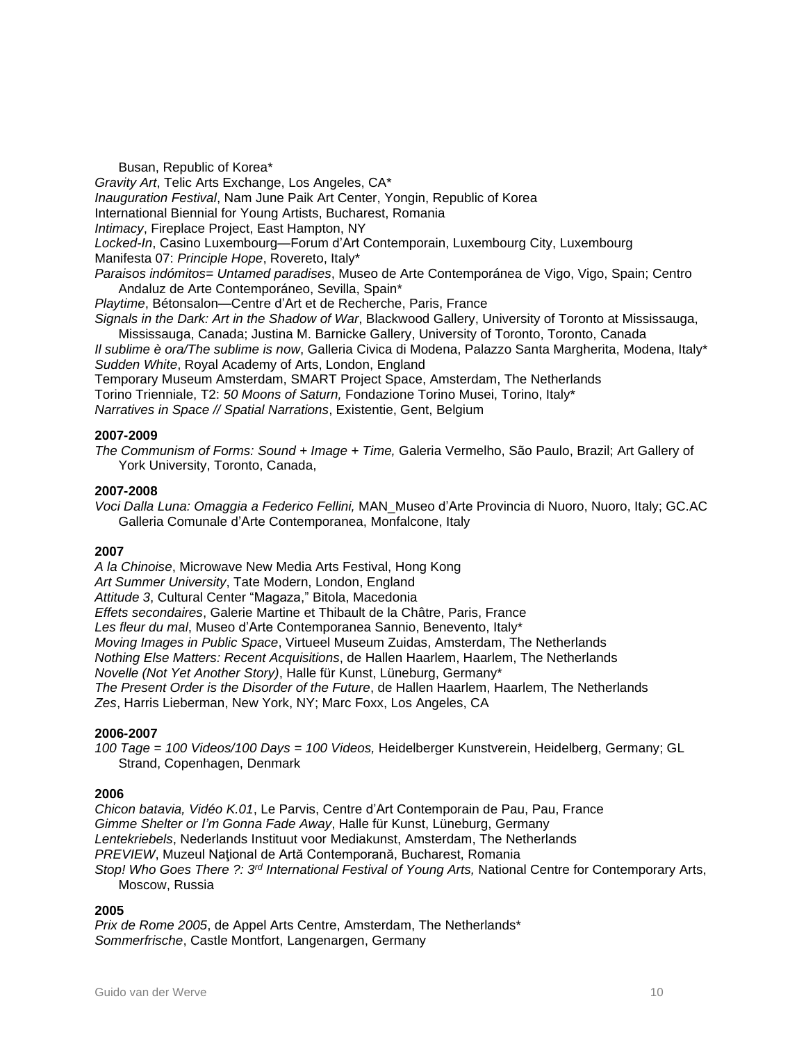Busan, Republic of Korea\*

*Gravity Art*, Telic Arts Exchange, Los Angeles, CA\*

*Inauguration Festival*, Nam June Paik Art Center, Yongin, Republic of Korea

International Biennial for Young Artists, Bucharest, Romania

*Intimacy*, Fireplace Project, East Hampton, NY

*Locked-In*, Casino Luxembourg—Forum d'Art Contemporain, Luxembourg City, Luxembourg Manifesta 07: *Principle Hope*, Rovereto, Italy\*

*Paraisos indómitos= Untamed paradises*, Museo de Arte Contemporánea de Vigo, Vigo, Spain; Centro Andaluz de Arte Contemporáneo, Sevilla, Spain\*

*Playtime*, Bétonsalon—Centre d'Art et de Recherche, Paris, France

*Signals in the Dark: Art in the Shadow of War*, Blackwood Gallery, University of Toronto at Mississauga,

Mississauga, Canada; Justina M. Barnicke Gallery, University of Toronto, Toronto, Canada *Il sublime è ora/The sublime is now*, Galleria Civica di Modena, Palazzo Santa Margherita, Modena, Italy\* *Sudden White*, Royal Academy of Arts, London, England

Temporary Museum Amsterdam, SMART Project Space, Amsterdam, The Netherlands Torino Trienniale, T2: *50 Moons of Saturn,* Fondazione Torino Musei, Torino, Italy\* *Narratives in Space // Spatial Narrations*, Existentie, Gent, Belgium

#### **2007-2009**

*The Communism of Forms: Sound + Image + Time,* Galeria Vermelho, São Paulo, Brazil; Art Gallery of York University, Toronto, Canada,

#### **2007-2008**

*Voci Dalla Luna: Omaggia a Federico Fellini,* MAN\_Museo d'Arte Provincia di Nuoro, Nuoro, Italy; GC.AC Galleria Comunale d'Arte Contemporanea, Monfalcone, Italy

#### **2007**

*A la Chinoise*, Microwave New Media Arts Festival, Hong Kong *Art Summer University*, Tate Modern, London, England *Attitude 3*, Cultural Center "Magaza," Bitola, Macedonia *Effets secondaires*, Galerie Martine et Thibault de la Châtre, Paris, France *Les fleur du mal*, Museo d'Arte Contemporanea Sannio, Benevento, Italy\* *Moving Images in Public Space*, Virtueel Museum Zuidas, Amsterdam, The Netherlands *Nothing Else Matters: Recent Acquisitions*, de Hallen Haarlem, Haarlem, The Netherlands *Novelle (Not Yet Another Story)*, Halle für Kunst, Lüneburg, Germany\* *The Present Order is the Disorder of the Future*, de Hallen Haarlem, Haarlem, The Netherlands *Zes*, Harris Lieberman, New York, NY; Marc Foxx, Los Angeles, CA

#### **2006-2007**

*100 Tage = 100 Videos/100 Days = 100 Videos,* Heidelberger Kunstverein, Heidelberg, Germany; GL Strand, Copenhagen, Denmark

#### **2006**

*Chicon batavia, Vidéo K.01*, Le Parvis, Centre d'Art Contemporain de Pau, Pau, France *Gimme Shelter or I'm Gonna Fade Away*, Halle für Kunst, Lüneburg, Germany *Lentekriebels*, Nederlands Instituut voor Mediakunst, Amsterdam, The Netherlands *PREVIEW*, Muzeul Naţional de Artă Contemporană, Bucharest, Romania *Stop! Who Goes There ?: 3 rd International Festival of Young Arts,* National Centre for Contemporary Arts, Moscow, Russia

#### **2005**

*Prix de Rome 2005*, de Appel Arts Centre, Amsterdam, The Netherlands\* *Sommerfrische*, Castle Montfort, Langenargen, Germany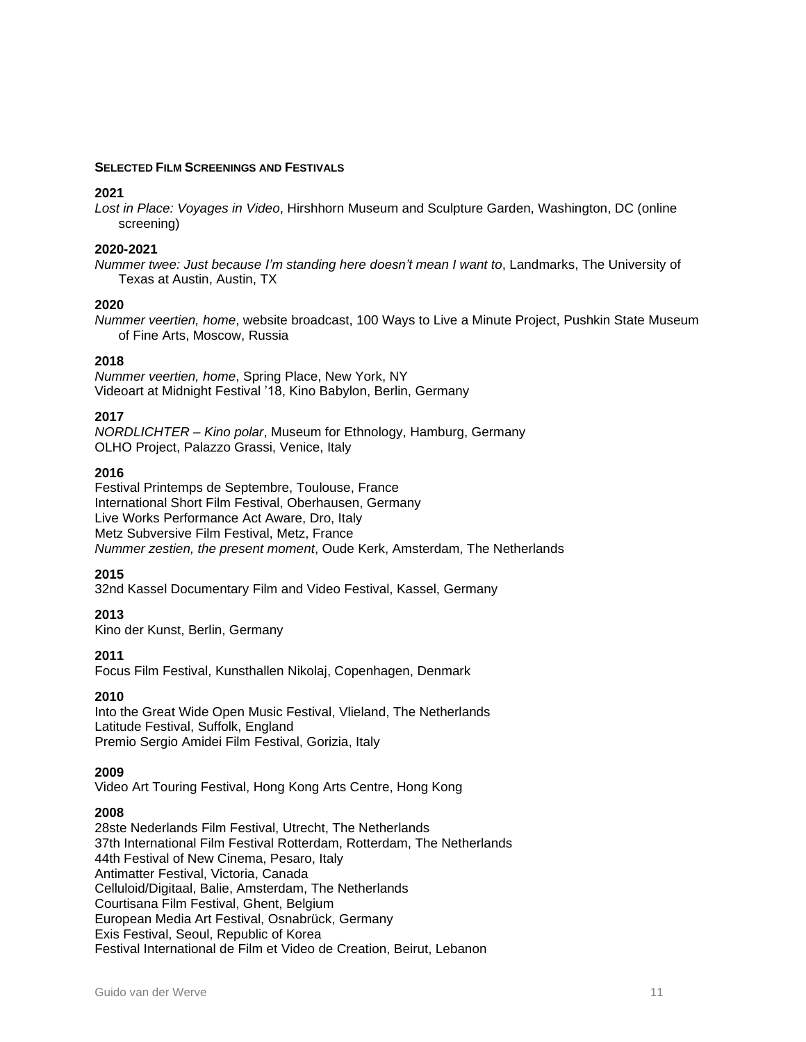#### **SELECTED FILM SCREENINGS AND FESTIVALS**

#### **2021**

*Lost in Place: Voyages in Video*, Hirshhorn Museum and Sculpture Garden, Washington, DC (online screening)

#### **2020-2021**

*Nummer twee: Just because I'm standing here doesn't mean I want to*, Landmarks, The University of Texas at Austin, Austin, TX

#### **2020**

*Nummer veertien, home*, website broadcast, 100 Ways to Live a Minute Project, Pushkin State Museum of Fine Arts, Moscow, Russia

#### **2018**

*Nummer veertien, home*, Spring Place, New York, NY Videoart at Midnight Festival '18, Kino Babylon, Berlin, Germany

#### **2017**

*NORDLICHTER – Kino polar*, Museum for Ethnology, Hamburg, Germany OLHO Project, Palazzo Grassi, Venice, Italy

#### **2016**

Festival Printemps de Septembre, Toulouse, France International Short Film Festival, Oberhausen, Germany Live Works Performance Act Aware, Dro, Italy Metz Subversive Film Festival, Metz, France *Nummer zestien, the present moment*, Oude Kerk, Amsterdam, The Netherlands

#### **2015**

32nd Kassel Documentary Film and Video Festival, Kassel, Germany

#### **2013**

Kino der Kunst, Berlin, Germany

#### **2011**

Focus Film Festival, Kunsthallen Nikolaj, Copenhagen, Denmark

#### **2010**

Into the Great Wide Open Music Festival, Vlieland, The Netherlands Latitude Festival, Suffolk, England Premio Sergio Amidei Film Festival, Gorizia, Italy

#### **2009**

Video Art Touring Festival, Hong Kong Arts Centre, Hong Kong

#### **2008**

28ste Nederlands Film Festival, Utrecht, The Netherlands 37th International Film Festival Rotterdam, Rotterdam, The Netherlands 44th Festival of New Cinema, Pesaro, Italy Antimatter Festival, Victoria, Canada Celluloid/Digitaal, Balie, Amsterdam, The Netherlands Courtisana Film Festival, Ghent, Belgium European Media Art Festival, Osnabrück, Germany Exis Festival, Seoul, Republic of Korea Festival International de Film et Video de Creation, Beirut, Lebanon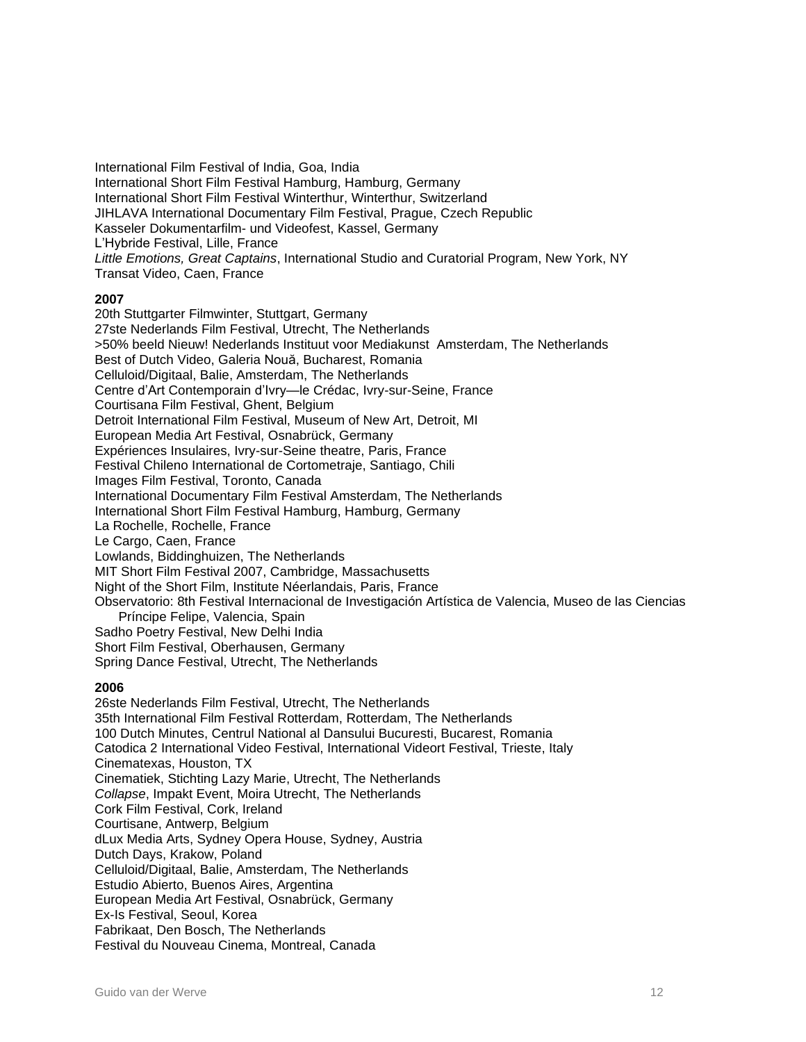International Film Festival of India, Goa, India International Short Film Festival Hamburg, Hamburg, Germany International Short Film Festival Winterthur, Winterthur, Switzerland JIHLAVA International Documentary Film Festival, Prague, Czech Republic Kasseler Dokumentarfilm- und Videofest, Kassel, Germany L'Hybride Festival, Lille, France *Little Emotions, Great Captains*, International Studio and Curatorial Program, New York, NY Transat Video, Caen, France

#### **2007**

20th Stuttgarter Filmwinter, Stuttgart, Germany 27ste Nederlands Film Festival, Utrecht, The Netherlands >50% beeld Nieuw! Nederlands Instituut voor Mediakunst Amsterdam, The Netherlands Best of Dutch Video, Galeria Nouă, Bucharest, Romania Celluloid/Digitaal, Balie, Amsterdam, The Netherlands Centre d'Art Contemporain d'Ivry—le Crédac, Ivry-sur-Seine, France Courtisana Film Festival, Ghent, Belgium Detroit International Film Festival, Museum of New Art, Detroit, MI European Media Art Festival, Osnabrück, Germany Expériences Insulaires, Ivry-sur-Seine theatre, Paris, France Festival Chileno International de Cortometraje, Santiago, Chili Images Film Festival, Toronto, Canada International Documentary Film Festival Amsterdam, The Netherlands International Short Film Festival Hamburg, Hamburg, Germany La Rochelle, Rochelle, France Le Cargo, Caen, France Lowlands, Biddinghuizen, The Netherlands MIT Short Film Festival 2007, Cambridge, Massachusetts Night of the Short Film, Institute Néerlandais, Paris, France Observatorio: 8th Festival Internacional de Investigación Artística de Valencia, Museo de las Ciencias Príncipe Felipe, Valencia, Spain Sadho Poetry Festival, New Delhi India Short Film Festival, Oberhausen, Germany Spring Dance Festival, Utrecht, The Netherlands

#### **2006**

26ste Nederlands Film Festival, Utrecht, The Netherlands 35th International Film Festival Rotterdam, Rotterdam, The Netherlands 100 Dutch Minutes, Centrul National al Dansului Bucuresti, Bucarest, Romania Catodica 2 International Video Festival, International Videort Festival, Trieste, Italy Cinematexas, Houston, TX Cinematiek, Stichting Lazy Marie, Utrecht, The Netherlands *Collapse*, Impakt Event, Moira Utrecht, The Netherlands Cork Film Festival, Cork, Ireland Courtisane, Antwerp, Belgium dLux Media Arts, Sydney Opera House, Sydney, Austria Dutch Days, Krakow, Poland Celluloid/Digitaal, Balie, Amsterdam, The Netherlands Estudio Abierto, Buenos Aires, Argentina European Media Art Festival, Osnabrück, Germany Ex-Is Festival, Seoul, Korea Fabrikaat, Den Bosch, The Netherlands Festival du Nouveau Cinema, Montreal, Canada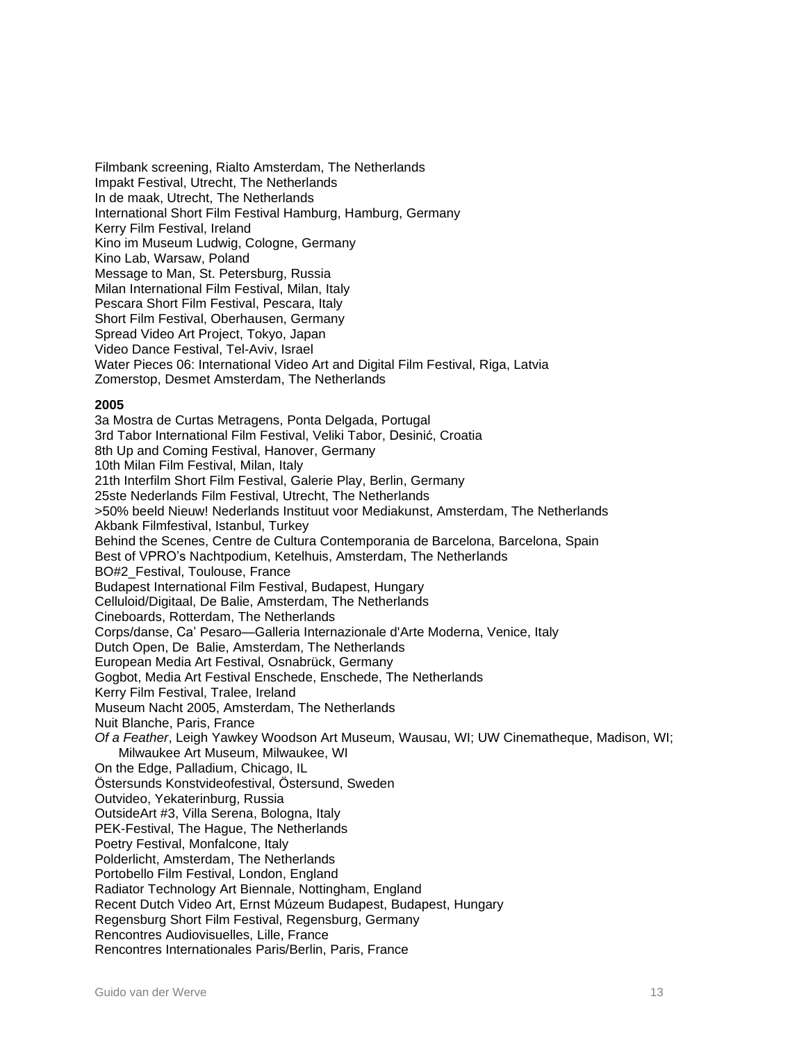Filmbank screening, Rialto Amsterdam, The Netherlands Impakt Festival, Utrecht, The Netherlands In de maak, Utrecht, The Netherlands International Short Film Festival Hamburg, Hamburg, Germany Kerry Film Festival, Ireland Kino im Museum Ludwig, Cologne, Germany Kino Lab, Warsaw, Poland Message to Man, St. Petersburg, Russia Milan International Film Festival, Milan, Italy Pescara Short Film Festival, Pescara, Italy Short Film Festival, Oberhausen, Germany Spread Video Art Project, Tokyo, Japan Video Dance Festival, Tel-Aviv, Israel Water Pieces 06: International Video Art and Digital Film Festival, Riga, Latvia Zomerstop, Desmet Amsterdam, The Netherlands

#### **2005**

3a Mostra de Curtas Metragens, Ponta Delgada, Portugal 3rd Tabor International Film Festival, Veliki Tabor, Desinić, Croatia 8th Up and Coming Festival, Hanover, Germany 10th Milan Film Festival, Milan, Italy 21th Interfilm Short Film Festival, Galerie Play, Berlin, Germany 25ste Nederlands Film Festival, Utrecht, The Netherlands >50% beeld Nieuw! Nederlands Instituut voor Mediakunst, Amsterdam, The Netherlands Akbank Filmfestival, Istanbul, Turkey Behind the Scenes, Centre de Cultura Contemporania de Barcelona, Barcelona, Spain Best of VPRO's Nachtpodium, Ketelhuis, Amsterdam, The Netherlands BO#2\_Festival, Toulouse, France Budapest International Film Festival, Budapest, Hungary Celluloid/Digitaal, De Balie, Amsterdam, The Netherlands Cineboards, Rotterdam, The Netherlands Corps/danse, Ca' Pesaro—Galleria Internazionale d'Arte Moderna, Venice, Italy Dutch Open, De Balie, Amsterdam, The Netherlands European Media Art Festival, Osnabrück, Germany Gogbot, Media Art Festival Enschede, Enschede, The Netherlands Kerry Film Festival, Tralee, Ireland Museum Nacht 2005, Amsterdam, The Netherlands Nuit Blanche, Paris, France *Of a Feather*, Leigh Yawkey Woodson Art Museum, Wausau, WI; UW Cinematheque, Madison, WI; Milwaukee Art Museum, Milwaukee, WI On the Edge, Palladium, Chicago, IL Östersunds Konstvideofestival, Östersund, Sweden Outvideo, Yekaterinburg, Russia OutsideArt #3, Villa Serena, Bologna, Italy PEK-Festival, The Hague, The Netherlands Poetry Festival, Monfalcone, Italy Polderlicht, Amsterdam, The Netherlands Portobello Film Festival, London, England Radiator Technology Art Biennale, Nottingham, England Recent Dutch Video Art, Ernst Múzeum Budapest, Budapest, Hungary Regensburg Short Film Festival, Regensburg, Germany Rencontres Audiovisuelles, Lille, France Rencontres Internationales Paris/Berlin, Paris, France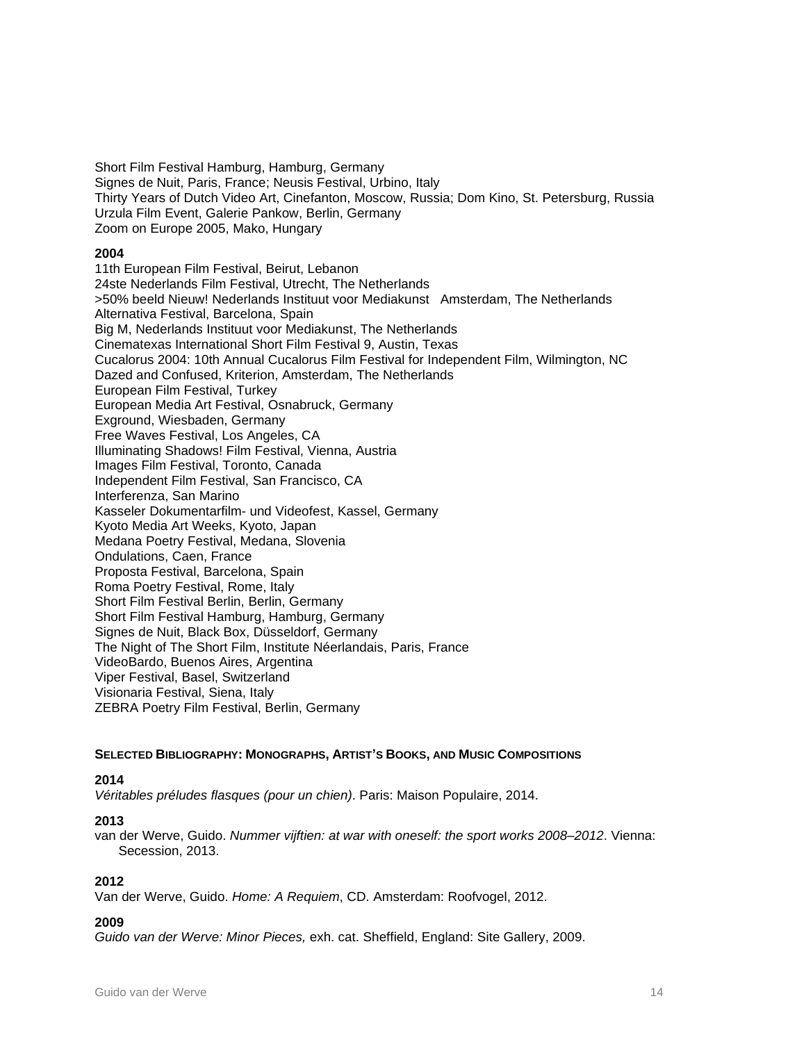Short Film Festival Hamburg, Hamburg, Germany Signes de Nuit, Paris, France; Neusis Festival, Urbino, Italy Thirty Years of Dutch Video Art, Cinefanton, Moscow, Russia; Dom Kino, St. Petersburg, Russia Urzula Film Event, Galerie Pankow, Berlin, Germany Zoom on Europe 2005, Mako, Hungary

#### **2004**

11th European Film Festival, Beirut, Lebanon 24ste Nederlands Film Festival, Utrecht, The Netherlands >50% beeld Nieuw! Nederlands Instituut voor Mediakunst Amsterdam, The Netherlands Alternativa Festival, Barcelona, Spain Big M, Nederlands Instituut voor Mediakunst, The Netherlands Cinematexas International Short Film Festival 9, Austin, Texas Cucalorus 2004: 10th Annual Cucalorus Film Festival for Independent Film, Wilmington, NC Dazed and Confused, Kriterion, Amsterdam, The Netherlands European Film Festival, Turkey European Media Art Festival, Osnabruck, Germany Exground, Wiesbaden, Germany Free Waves Festival, Los Angeles, CA Illuminating Shadows! Film Festival, Vienna, Austria Images Film Festival, Toronto, Canada Independent Film Festival, San Francisco, CA Interferenza, San Marino Kasseler Dokumentarfilm- und Videofest, Kassel, Germany Kyoto Media Art Weeks, Kyoto, Japan Medana Poetry Festival, Medana, Slovenia Ondulations, Caen, France Proposta Festival, Barcelona, Spain Roma Poetry Festival, Rome, Italy Short Film Festival Berlin, Berlin, Germany Short Film Festival Hamburg, Hamburg, Germany Signes de Nuit, Black Box, Düsseldorf, Germany The Night of The Short Film, Institute Néerlandais, Paris, France VideoBardo, Buenos Aires, Argentina Viper Festival, Basel, Switzerland Visionaria Festival, Siena, Italy ZEBRA Poetry Film Festival, Berlin, Germany

#### **SELECTED BIBLIOGRAPHY: MONOGRAPHS, ARTIST'S BOOKS, AND MUSIC COMPOSITIONS**

#### **2014**

*Véritables préludes flasques (pour un chien)*. Paris: Maison Populaire, 2014.

#### **2013**

van der Werve, Guido. *Nummer vijftien: at war with oneself: the sport works 2008–2012*. Vienna: Secession, 2013.

#### **2012**

Van der Werve, Guido. *Home: A Requiem*, CD. Amsterdam: Roofvogel, 2012.

#### **2009**

*Guido van der Werve: Minor Pieces,* exh. cat. Sheffield, England: Site Gallery, 2009.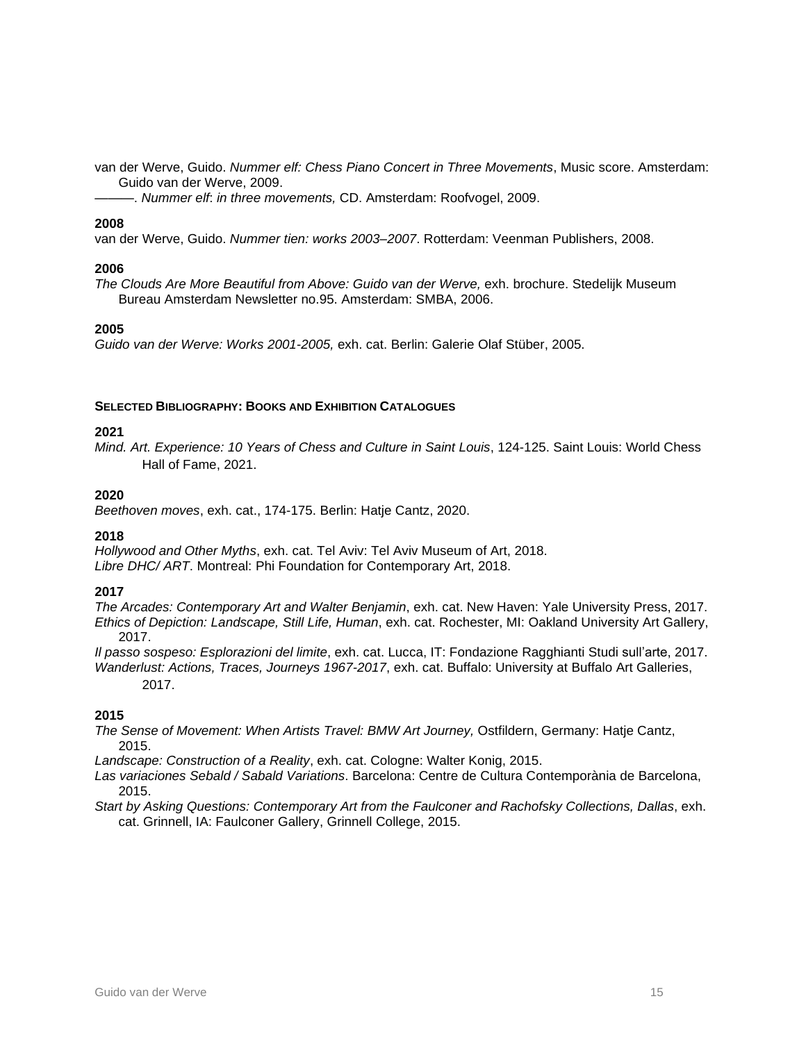van der Werve, Guido. *Nummer elf: Chess Piano Concert in Three Movements*, Music score. Amsterdam: Guido van der Werve, 2009.

———. *Nummer elf*: *in three movements,* CD. Amsterdam: Roofvogel, 2009.

#### **2008**

van der Werve, Guido. *Nummer tien: works 2003–2007*. Rotterdam: Veenman Publishers, 2008.

#### **2006**

*The Clouds Are More Beautiful from Above: Guido van der Werve,* exh. brochure. Stedelijk Museum Bureau Amsterdam Newsletter no.95. Amsterdam: SMBA, 2006.

#### **2005**

*Guido van der Werve: Works 2001-2005,* exh. cat. Berlin: Galerie Olaf Stüber, 2005.

#### **SELECTED BIBLIOGRAPHY: BOOKS AND EXHIBITION CATALOGUES**

#### **2021**

*Mind. Art. Experience: 10 Years of Chess and Culture in Saint Louis*, 124-125. Saint Louis: World Chess Hall of Fame, 2021.

#### **2020**

*Beethoven moves*, exh. cat., 174-175. Berlin: Hatje Cantz, 2020.

#### **2018**

*Hollywood and Other Myths*, exh. cat. Tel Aviv: Tel Aviv Museum of Art, 2018. *Libre DHC/ ART*. Montreal: Phi Foundation for Contemporary Art, 2018.

#### **2017**

*The Arcades: Contemporary Art and Walter Benjamin*, exh. cat. New Haven: Yale University Press, 2017. *Ethics of Depiction: Landscape, Still Life, Human*, exh. cat. Rochester, MI: Oakland University Art Gallery, 2017.

*Il passo sospeso: Esplorazioni del limite*, exh. cat. Lucca, IT: Fondazione Ragghianti Studi sull'arte, 2017. *Wanderlust: Actions, Traces, Journeys 1967-2017*, exh. cat. Buffalo: University at Buffalo Art Galleries, 2017.

#### **2015**

*The Sense of Movement: When Artists Travel: BMW Art Journey,* Ostfildern, Germany: Hatje Cantz, 2015.

*Landscape: Construction of a Reality*, exh. cat. Cologne: Walter Konig, 2015.

*Las variaciones Sebald / Sabald Variations*. Barcelona: Centre de Cultura Contemporània de Barcelona, 2015.

*Start by Asking Questions: Contemporary Art from the Faulconer and Rachofsky Collections, Dallas*, exh. cat. Grinnell, IA: Faulconer Gallery, Grinnell College, 2015.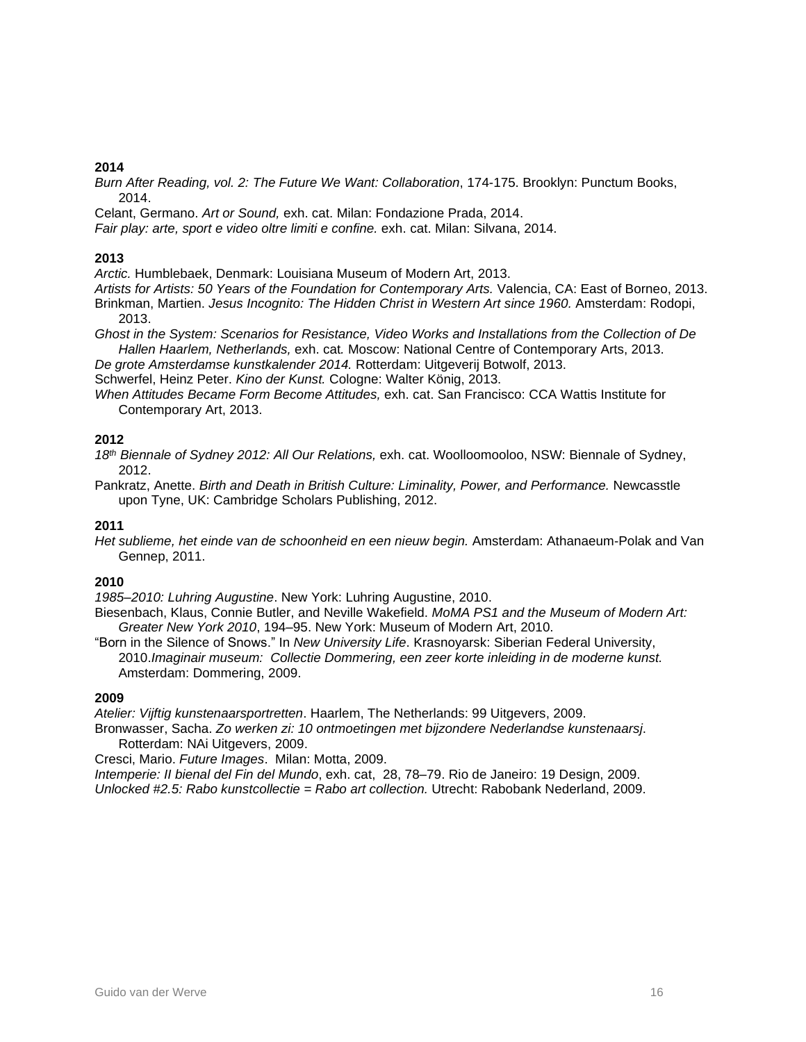#### **2014**

*Burn After Reading, vol. 2: The Future We Want: Collaboration*, 174-175. Brooklyn: Punctum Books, 2014.

Celant, Germano. *Art or Sound,* exh. cat. Milan: Fondazione Prada, 2014.

*Fair play: arte, sport e video oltre limiti e confine.* exh. cat. Milan: Silvana, 2014.

#### **2013**

*Arctic.* Humblebaek, Denmark: Louisiana Museum of Modern Art, 2013.

*Artists for Artists: 50 Years of the Foundation for Contemporary Arts.* Valencia, CA: East of Borneo, 2013. Brinkman, Martien. *Jesus Incognito: The Hidden Christ in Western Art since 1960.* Amsterdam: Rodopi,

2013.

*Ghost in the System: Scenarios for Resistance, Video Works and Installations from the Collection of De Hallen Haarlem, Netherlands,* exh. cat*.* Moscow: National Centre of Contemporary Arts, 2013.

*De grote Amsterdamse kunstkalender 2014.* Rotterdam: Uitgeverij Botwolf, 2013.

Schwerfel, Heinz Peter. *Kino der Kunst.* Cologne: Walter König, 2013.

*When Attitudes Became Form Become Attitudes,* exh. cat. San Francisco: CCA Wattis Institute for Contemporary Art, 2013.

#### **2012**

*18th Biennale of Sydney 2012: All Our Relations,* exh. cat. Woolloomooloo, NSW: Biennale of Sydney, 2012.

Pankratz, Anette. *Birth and Death in British Culture: Liminality, Power, and Performance.* Newcasstle upon Tyne, UK: Cambridge Scholars Publishing, 2012.

#### **2011**

*Het sublieme, het einde van de schoonheid en een nieuw begin.* Amsterdam: Athanaeum-Polak and Van Gennep, 2011.

#### **2010**

*1985–2010: Luhring Augustine*. New York: Luhring Augustine, 2010.

Biesenbach, Klaus, Connie Butler, and Neville Wakefield. *MoMA PS1 and the Museum of Modern Art: Greater New York 2010*, 194–95. New York: Museum of Modern Art, 2010.

"Born in the Silence of Snows." In *New University Life*. Krasnoyarsk: Siberian Federal University, 2010.*Imaginair museum: Collectie Dommering, een zeer korte inleiding in de moderne kunst.* Amsterdam: Dommering, 2009.

#### **2009**

*Atelier: Vijftig kunstenaarsportretten*. Haarlem, The Netherlands: 99 Uitgevers, 2009.

Bronwasser, Sacha. *Zo werken zi: 10 ontmoetingen met bijzondere Nederlandse kunstenaarsj*. Rotterdam: NAi Uitgevers, 2009.

Cresci, Mario. *Future Images*. Milan: Motta, 2009.

*Intemperie: II bienal del Fin del Mundo*, exh. cat, 28, 78–79. Rio de Janeiro: 19 Design, 2009. *Unlocked #2.5: Rabo kunstcollectie = Rabo art collection.* Utrecht: Rabobank Nederland, 2009.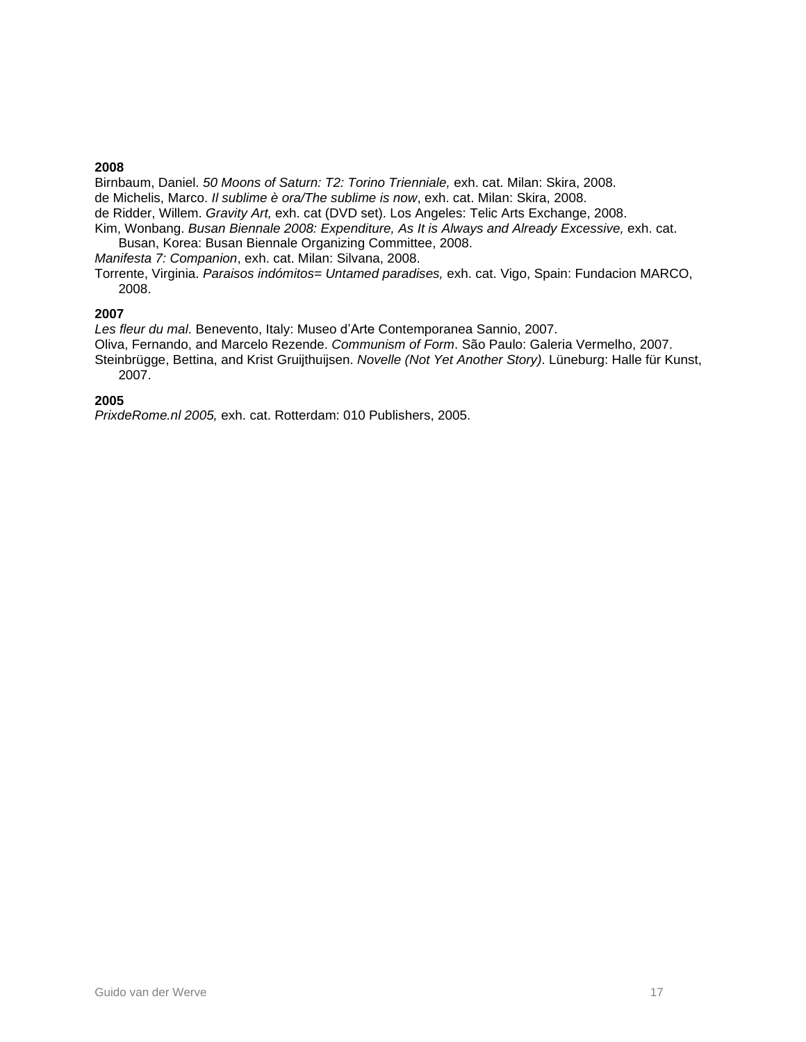#### **2008**

Birnbaum, Daniel. *50 Moons of Saturn: T2: Torino Trienniale,* exh. cat. Milan: Skira, 2008. de Michelis, Marco. *Il sublime è ora/The sublime is now*, exh. cat. Milan: Skira, 2008.

- de Ridder, Willem. *Gravity Art,* exh. cat (DVD set). Los Angeles: Telic Arts Exchange, 2008.
- Kim, Wonbang. *Busan Biennale 2008: Expenditure, As It is Always and Already Excessive,* exh. cat. Busan, Korea: Busan Biennale Organizing Committee, 2008.

*Manifesta 7: Companion*, exh. cat. Milan: Silvana, 2008.

Torrente, Virginia. *Paraisos indómitos= Untamed paradises,* exh. cat. Vigo, Spain: Fundacion MARCO, 2008.

#### **2007**

*Les fleur du mal*. Benevento, Italy: Museo d'Arte Contemporanea Sannio, 2007.

Oliva, Fernando, and Marcelo Rezende. *Communism of Form*. São Paulo: Galeria Vermelho, 2007. Steinbrügge, Bettina, and Krist Gruijthuijsen. *Novelle (Not Yet Another Story)*. Lüneburg: Halle für Kunst, 2007.

#### **2005**

*PrixdeRome.nl 2005,* exh. cat. Rotterdam: 010 Publishers, 2005.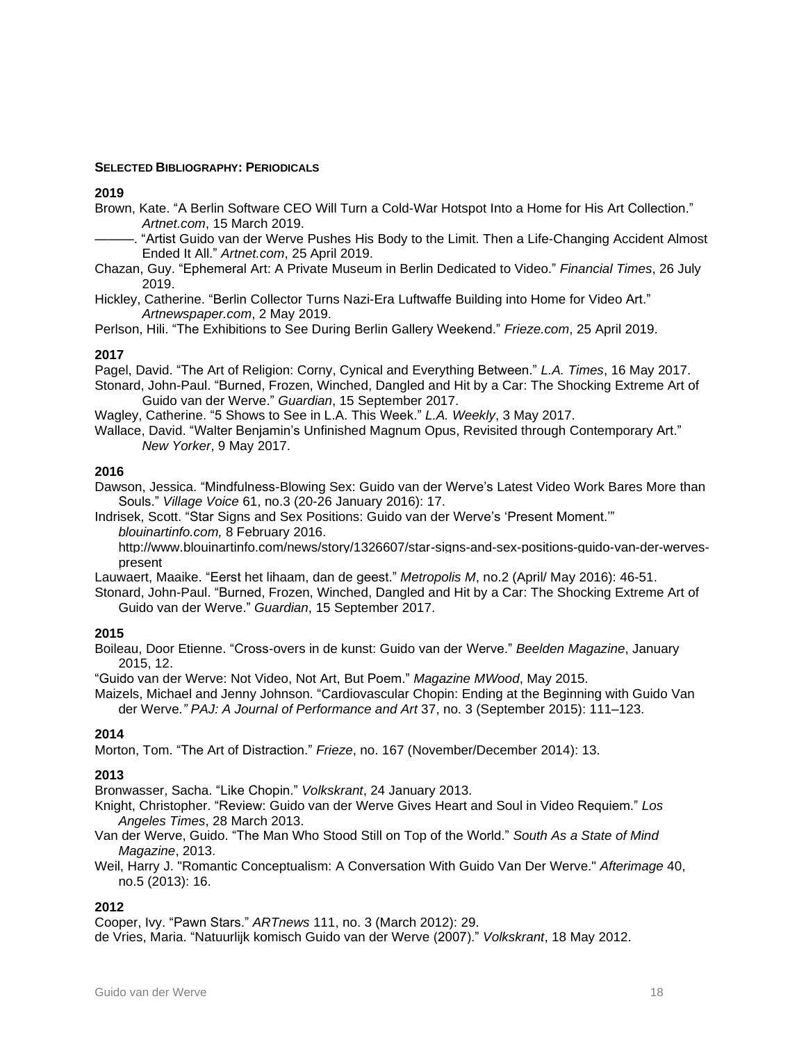#### **SELECTED BIBLIOGRAPHY: PERIODICALS**

#### **2019**

- Brown, Kate. "A Berlin Software CEO Will Turn a Cold-War Hotspot Into a Home for His Art Collection." *Artnet.com*, 15 March 2019.
- -. "Artist Guido van der Werve Pushes His Body to the Limit. Then a Life-Changing Accident Almost Ended It All." *Artnet.com*, 25 April 2019.
- Chazan, Guy. "Ephemeral Art: A Private Museum in Berlin Dedicated to Video." *Financial Times*, 26 July 2019.
- Hickley, Catherine. "Berlin Collector Turns Nazi-Era Luftwaffe Building into Home for Video Art." *Artnewspaper.com*, 2 May 2019.
- Perlson, Hili. "The Exhibitions to See During Berlin Gallery Weekend." *Frieze.com*, 25 April 2019.

#### **2017**

Pagel, David. "The Art of Religion: Corny, Cynical and Everything Between." *L.A. Times*, 16 May 2017.

- Stonard, John-Paul. "Burned, Frozen, Winched, Dangled and Hit by a Car: The Shocking Extreme Art of Guido van der Werve." *Guardian*, 15 September 2017.
- Wagley, Catherine. "5 Shows to See in L.A. This Week." *L.A. Weekly*, 3 May 2017.
- Wallace, David. "Walter Benjamin's Unfinished Magnum Opus, Revisited through Contemporary Art." *New Yorker*, 9 May 2017.

#### **2016**

Dawson, Jessica. "Mindfulness-Blowing Sex: Guido van der Werve's Latest Video Work Bares More than Souls." *Village Voice* 61, no.3 (20-26 January 2016): 17.

Indrisek, Scott. "Star Signs and Sex Positions: Guido van der Werve's 'Present Moment.'" *blouinartinfo.com,* 8 February 2016.

[http://www.blouinartinfo.com/news/story/1326607/star-signs-and-sex-positions-guido-van-der-werves](http://www.blouinartinfo.com/news/story/1326607/star-signs-and-sex-positions-guido-van-der-werves-present)[present](http://www.blouinartinfo.com/news/story/1326607/star-signs-and-sex-positions-guido-van-der-werves-present)

Lauwaert, Maaike. "Eerst het lihaam, dan de geest." *Metropolis M*, no.2 (April/ May 2016): 46-51.

Stonard, John-Paul. "Burned, Frozen, Winched, Dangled and Hit by a Car: The Shocking Extreme Art of Guido van der Werve." *Guardian*, 15 September 2017.

#### **2015**

Boileau, Door Etienne. "Cross-overs in de kunst: Guido van der Werve." *Beelden Magazine*, January 2015, 12.

"Guido van der Werve: Not Video, Not Art, But Poem." *Magazine MWood*, May 2015.

Maizels, Michael and Jenny Johnson. "Cardiovascular Chopin: Ending at the Beginning with Guido Van der Werve*." PAJ: A Journal of Performance and Art* 37, no. 3 (September 2015): 111–123.

#### **2014**

Morton, Tom. "The Art of Distraction." *Frieze*, no. 167 (November/December 2014): 13.

#### **2013**

Bronwasser, Sacha. "Like Chopin." *Volkskrant*, 24 January 2013.

Knight, Christopher. "Review: Guido van der Werve Gives Heart and Soul in Video Requiem." *Los Angeles Times*, 28 March 2013.

- Van der Werve, Guido. "The Man Who Stood Still on Top of the World." *South As a State of Mind Magazine*, 2013.
- Weil, Harry J. "Romantic Conceptualism: A Conversation With Guido Van Der Werve." *Afterimage* 40, no.5 (2013): 16.

#### **2012**

Cooper, Ivy. "Pawn Stars." *ARTnews* 111, no. 3 (March 2012): 29.

de Vries, Maria. "Natuurlijk komisch Guido van der Werve (2007)." *Volkskrant*, 18 May 2012.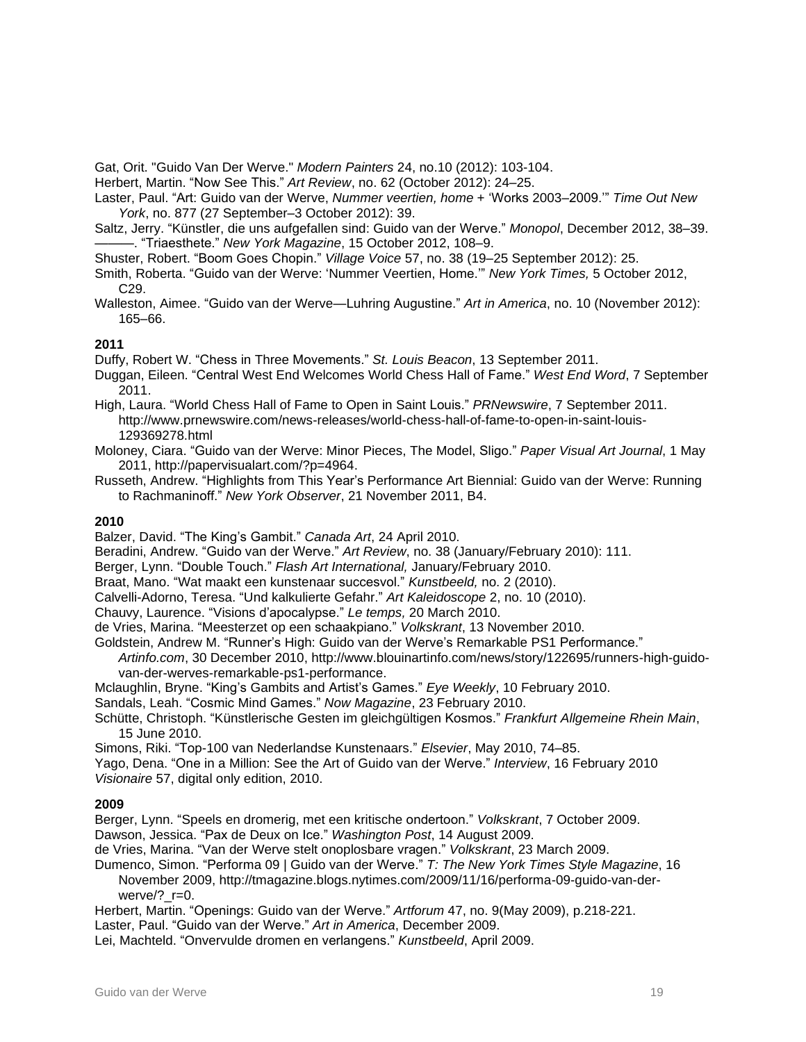Gat, Orit. "Guido Van Der Werve." *Modern Painters* 24, no.10 (2012): 103-104.

Herbert, Martin. "Now See This." *Art Review*, no. 62 (October 2012): 24–25.

Laster, Paul. "Art: Guido van der Werve, *Nummer veertien, home* + 'Works 2003–2009.'" *Time Out New York*, no. 877 (27 September–3 October 2012): 39.

Saltz, Jerry. "Künstler, die uns aufgefallen sind: Guido van der Werve." *Monopol*, December 2012, 38–39. ———. "Triaesthete." *New York Magazine*, 15 October 2012, 108–9.

- Shuster, Robert. "Boom Goes Chopin." *Village Voice* 57, no. 38 (19–25 September 2012): 25.
- Smith, Roberta. "Guido van der Werve: 'Nummer Veertien, Home.'" *New York Times,* 5 October 2012, C29.
- Walleston, Aimee. "Guido van der Werve—Luhring Augustine." *Art in America*, no. 10 (November 2012): 165–66.

#### **2011**

Duffy, Robert W. "Chess in Three Movements." *St. Louis Beacon*, 13 September 2011.

- Duggan, Eileen. "Central West End Welcomes World Chess Hall of Fame." *West End Word*, 7 September 2011.
- High, Laura. "World Chess Hall of Fame to Open in Saint Louis." *PRNewswire*, 7 September 2011. http://www.prnewswire.com/news-releases/world-chess-hall-of-fame-to-open-in-saint-louis-129369278.html
- Moloney, Ciara. "Guido van der Werve: Minor Pieces, The Model, Sligo." *Paper Visual Art Journal*, 1 May 2011, http://papervisualart.com/?p=4964.
- Russeth, Andrew. "Highlights from This Year's Performance Art Biennial: Guido van der Werve: Running to Rachmaninoff." *New York Observer*, 21 November 2011, B4.

#### **2010**

Balzer, David. "The King's Gambit." *Canada Art*, 24 April 2010.

Beradini, Andrew. "Guido van der Werve." *Art Review*, no. 38 (January/February 2010): 111.

Berger, Lynn. "Double Touch." *Flash Art International,* January/February 2010.

Braat, Mano. "Wat maakt een kunstenaar succesvol." *Kunstbeeld,* no. 2 (2010).

Calvelli-Adorno, Teresa. "Und kalkulierte Gefahr." *Art Kaleidoscope* 2, no. 10 (2010).

Chauvy, Laurence. "Visions d'apocalypse." *Le temps,* 20 March 2010.

de Vries, Marina. "Meesterzet op een schaakpiano." *Volkskrant*, 13 November 2010.

Goldstein, Andrew M. "Runner's High: Guido van der Werve's Remarkable PS1 Performance."

*Artinfo.com*, 30 December 2010, http://www.blouinartinfo.com/news/story/122695/runners-high-guidovan-der-werves-remarkable-ps1-performance.

Mclaughlin, Bryne. "King's Gambits and Artist's Games." *Eye Weekly*, 10 February 2010.

Sandals, Leah. "Cosmic Mind Games." *Now Magazine*, 23 February 2010.

Schütte, Christoph. "Künstlerische Gesten im gleichgültigen Kosmos." *Frankfurt Allgemeine Rhein Main*, 15 June 2010.

Simons, Riki. "Top-100 van Nederlandse Kunstenaars." *Elsevier*, May 2010, 74–85.

Yago, Dena. "One in a Million: See the Art of Guido van der Werve." *Interview*, 16 February 2010 *Visionaire* 57, digital only edition, 2010.

#### **2009**

Berger, Lynn. "Speels en dromerig, met een kritische ondertoon." *Volkskrant*, 7 October 2009. Dawson, Jessica. "Pax de Deux on Ice." *Washington Post*, 14 August 2009.

de Vries, Marina. "Van der Werve stelt onoplosbare vragen." *Volkskrant*, 23 March 2009.

Dumenco, Simon. "Performa 09 | Guido van der Werve." *T: The New York Times Style Magazine*, 16 November 2009, http://tmagazine.blogs.nytimes.com/2009/11/16/performa-09-guido-van-der-

werve/? r=0.

Herbert, Martin. "Openings: Guido van der Werve." *Artforum* 47, no. 9(May 2009), p.218-221.

Laster, Paul. "Guido van der Werve." *Art in America*, December 2009.

Lei, Machteld. "Onvervulde dromen en verlangens." *Kunstbeeld*, April 2009.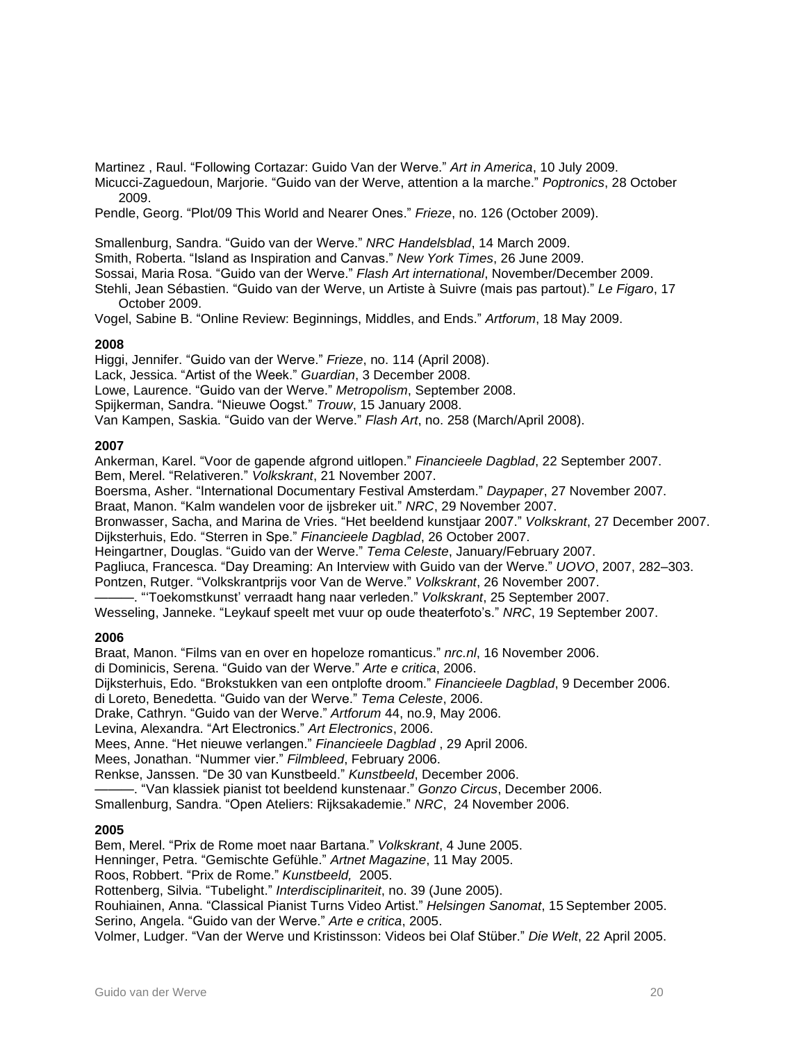Martinez , Raul. "Following Cortazar: Guido Van der Werve." *Art in America*, 10 July 2009.

Micucci-Zaguedoun, Marjorie. "Guido van der Werve, attention a la marche." *Poptronics*, 28 October 2009.

Pendle, Georg. "Plot/09 This World and Nearer Ones." *Frieze*, no. 126 (October 2009).

Smallenburg, Sandra. "Guido van der Werve." *NRC Handelsblad*, 14 March 2009.

Smith, Roberta. "Island as Inspiration and Canvas." *New York Times*, 26 June 2009.

Sossai, Maria Rosa. "Guido van der Werve." *Flash Art international*, November/December 2009.

Stehli, Jean [Sébastien.](http://blog.madame.lefigaro.fr/stehli/jean-sebastien-stehli.html) "Guido van der Werve, un Artiste à Suivre (mais pas partout)." *Le Figaro*, 17 October 2009.

Vogel, Sabine B. "Online Review: Beginnings, Middles, and Ends." *Artforum*, 18 May 2009.

#### **2008**

Higgi, Jennifer. "Guido van der Werve." *Frieze*, no. 114 (April 2008). Lack, Jessica. "Artist of the Week." *Guardian*, 3 December 2008. Lowe, Laurence. "Guido van der Werve." *Metropolism*, September 2008. Spijkerman, Sandra. "Nieuwe Oogst." *Trouw*, 15 January 2008. Van Kampen, Saskia. "Guido van der Werve." *Flash Art*, no. 258 (March/April 2008).

#### **2007**

Ankerman, Karel. "Voor de gapende afgrond uitlopen." *Financieele Dagblad*, 22 September 2007. Bem, Merel. "Relativeren." *Volkskrant*, 21 November 2007.

Boersma, Asher. "International Documentary Festival Amsterdam." *Daypaper*, 27 November 2007.

Braat, Manon. "Kalm wandelen voor de ijsbreker uit." *NRC*, 29 November 2007.

Bronwasser, Sacha, and Marina de Vries. "Het beeldend kunstjaar 2007." *Volkskrant*, 27 December 2007. Dijksterhuis, Edo. "Sterren in Spe." *Financieele Dagblad*, 26 October 2007.

Heingartner, Douglas. "Guido van der Werve." *Tema Celeste*, January/February 2007.

Pagliuca, Francesca. "Day Dreaming: An Interview with Guido van der Werve." *UOVO*, 2007, 282–303. Pontzen, Rutger. "Volkskrantprijs voor Van de Werve." *Volkskrant*, 26 November 2007.

———. "'Toekomstkunst' verraadt hang naar verleden." *Volkskrant*, 25 September 2007.

Wesseling, Janneke. "Leykauf speelt met vuur op oude theaterfoto's." *NRC*, 19 September 2007.

#### **2006**

Braat, Manon. "Films van en over en hopeloze romanticus." *nrc.nl*, 16 November 2006. di Dominicis, Serena. "Guido van der Werve." *Arte e critica*, 2006. Dijksterhuis, Edo. "Brokstukken van een ontplofte droom." *Financieele Dagblad*, 9 December 2006. di Loreto, Benedetta. "Guido van der Werve." *Tema Celeste*, 2006. Drake, Cathryn. "Guido van der Werve." *Artforum* 44, no.9, May 2006. Levina, Alexandra. "Art Electronics." *Art Electronics*, 2006. Mees, Anne. "Het nieuwe verlangen." *Financieele Dagblad* , 29 April 2006. Mees, Jonathan. "Nummer vier." *Filmbleed*, February 2006. Renkse, Janssen. "De 30 van Kunstbeeld." *Kunstbeeld*, December 2006. ———. "Van klassiek pianist tot beeldend kunstenaar." *Gonzo Circus*, December 2006. Smallenburg, Sandra. "Open Ateliers: Rijksakademie." *NRC*, 24 November 2006. **2005**

Bem, Merel. "Prix de Rome moet naar Bartana." *Volkskrant*, 4 June 2005. Henninger, Petra. "Gemischte Gefühle." *Artnet Magazine*, 11 May 2005. Roos, Robbert. "Prix de Rome." *Kunstbeeld,* 2005. Rottenberg, Silvia. "Tubelight." *Interdisciplinariteit*, no. 39 (June 2005). Rouhiainen, Anna. "Classical Pianist Turns Video Artist." *Helsingen Sanomat*, 15 September 2005. Serino, Angela. "Guido van der Werve." *Arte e critica*, 2005. Volmer, Ludger. "Van der Werve und Kristinsson: Videos bei Olaf Stüber." *Die Welt*, 22 April 2005.